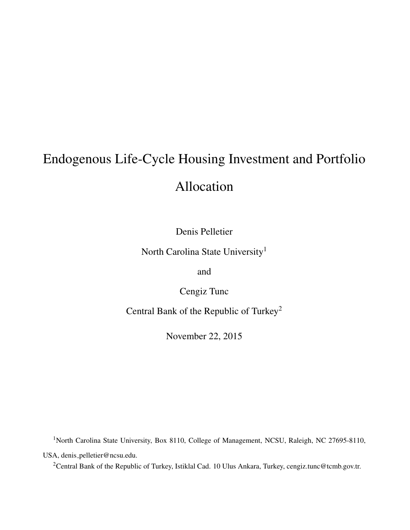# <span id="page-0-0"></span>Endogenous Life-Cycle Housing Investment and Portfolio

# Allocation

Denis Pelletier

North Carolina State University<sup>1</sup>

and

Cengiz Tunc

Central Bank of the Republic of Turkey<sup>2</sup>

November 22, 2015

<sup>1</sup>North Carolina State University, Box 8110, College of Management, NCSU, Raleigh, NC 27695-8110, USA, denis pelletier@ncsu.edu.

<sup>2</sup>Central Bank of the Republic of Turkey, Istiklal Cad. 10 Ulus Ankara, Turkey, cengiz.tunc@tcmb.gov.tr.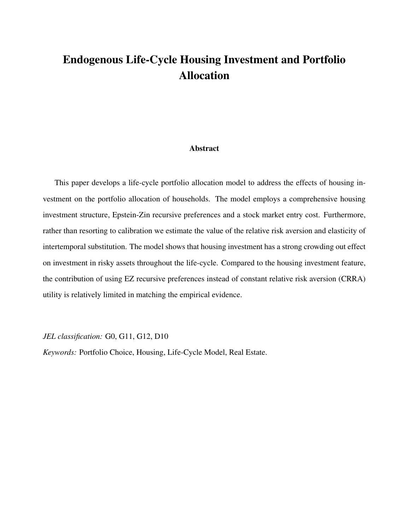## Endogenous Life-Cycle Housing Investment and Portfolio Allocation

#### Abstract

This paper develops a life-cycle portfolio allocation model to address the effects of housing investment on the portfolio allocation of households. The model employs a comprehensive housing investment structure, Epstein-Zin recursive preferences and a stock market entry cost. Furthermore, rather than resorting to calibration we estimate the value of the relative risk aversion and elasticity of intertemporal substitution. The model shows that housing investment has a strong crowding out effect on investment in risky assets throughout the life-cycle. Compared to the housing investment feature, the contribution of using EZ recursive preferences instead of constant relative risk aversion (CRRA) utility is relatively limited in matching the empirical evidence.

*JEL classification:* G0, G11, G12, D10

*Keywords:* Portfolio Choice, Housing, Life-Cycle Model, Real Estate.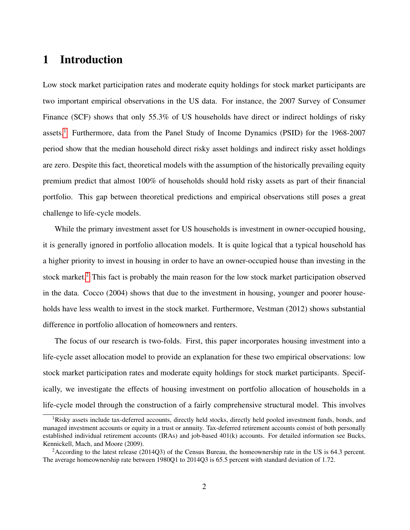## 1 Introduction

Low stock market participation rates and moderate equity holdings for stock market participants are two important empirical observations in the US data. For instance, the 2007 Survey of Consumer Finance (SCF) shows that only 55.3% of US households have direct or indirect holdings of risky assets.<sup>[1](#page-0-0)</sup> Furthermore, data from the Panel Study of Income Dynamics (PSID) for the  $1968-2007$ period show that the median household direct risky asset holdings and indirect risky asset holdings are zero. Despite this fact, theoretical models with the assumption of the historically prevailing equity premium predict that almost 100% of households should hold risky assets as part of their financial portfolio. This gap between theoretical predictions and empirical observations still poses a great challenge to life-cycle models.

While the primary investment asset for US households is investment in owner-occupied housing, it is generally ignored in portfolio allocation models. It is quite logical that a typical household has a higher priority to invest in housing in order to have an owner-occupied house than investing in the stock market.<sup>[2](#page-0-0)</sup> This fact is probably the main reason for the low stock market participation observed in the data. Cocco (2004) shows that due to the investment in housing, younger and poorer households have less wealth to invest in the stock market. Furthermore, Vestman (2012) shows substantial difference in portfolio allocation of homeowners and renters.

The focus of our research is two-folds. First, this paper incorporates housing investment into a life-cycle asset allocation model to provide an explanation for these two empirical observations: low stock market participation rates and moderate equity holdings for stock market participants. Specifically, we investigate the effects of housing investment on portfolio allocation of households in a life-cycle model through the construction of a fairly comprehensive structural model. This involves

<sup>&</sup>lt;sup>1</sup>Risky assets include tax-deferred accounts, directly held stocks, directly held pooled investment funds, bonds, and managed investment accounts or equity in a trust or annuity. Tax-deferred retirement accounts consist of both personally established individual retirement accounts (IRAs) and job-based 401(k) accounts. For detailed information see Bucks, Kennickell, Mach, and Moore (2009).

<sup>2</sup>According to the latest release (2014Q3) of the Census Bureau, the homeownership rate in the US is 64.3 percent. The average homeownership rate between 1980Q1 to 2014Q3 is 65.5 percent with standard deviation of 1.72.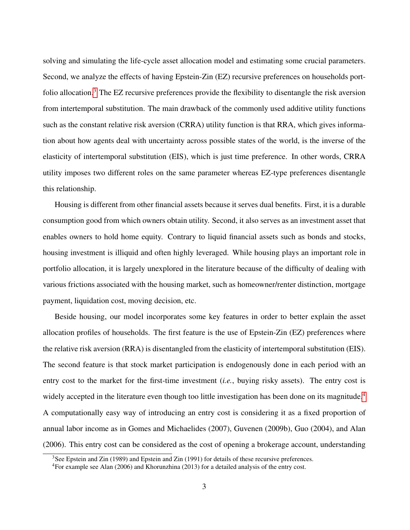solving and simulating the life-cycle asset allocation model and estimating some crucial parameters. Second, we analyze the effects of having Epstein-Zin (EZ) recursive preferences on households portfolio allocation.[3](#page-0-0) The EZ recursive preferences provide the flexibility to disentangle the risk aversion from intertemporal substitution. The main drawback of the commonly used additive utility functions such as the constant relative risk aversion (CRRA) utility function is that RRA, which gives information about how agents deal with uncertainty across possible states of the world, is the inverse of the elasticity of intertemporal substitution (EIS), which is just time preference. In other words, CRRA utility imposes two different roles on the same parameter whereas EZ-type preferences disentangle this relationship.

Housing is different from other financial assets because it serves dual benefits. First, it is a durable consumption good from which owners obtain utility. Second, it also serves as an investment asset that enables owners to hold home equity. Contrary to liquid financial assets such as bonds and stocks, housing investment is illiquid and often highly leveraged. While housing plays an important role in portfolio allocation, it is largely unexplored in the literature because of the difficulty of dealing with various frictions associated with the housing market, such as homeowner/renter distinction, mortgage payment, liquidation cost, moving decision, etc.

Beside housing, our model incorporates some key features in order to better explain the asset allocation profiles of households. The first feature is the use of Epstein-Zin (EZ) preferences where the relative risk aversion (RRA) is disentangled from the elasticity of intertemporal substitution (EIS). The second feature is that stock market participation is endogenously done in each period with an entry cost to the market for the first-time investment (*i.e.*, buying risky assets). The entry cost is widely accepted in the literature even though too little investigation has been done on its magnitude.<sup>[4](#page-0-0)</sup> A computationally easy way of introducing an entry cost is considering it as a fixed proportion of annual labor income as in Gomes and Michaelides (2007), Guvenen (2009b), Guo (2004), and Alan (2006). This entry cost can be considered as the cost of opening a brokerage account, understanding

<sup>&</sup>lt;sup>3</sup>See Epstein and Zin (1989) and Epstein and Zin (1991) for details of these recursive preferences.

<sup>4</sup>For example see Alan (2006) and Khorunzhina (2013) for a detailed analysis of the entry cost.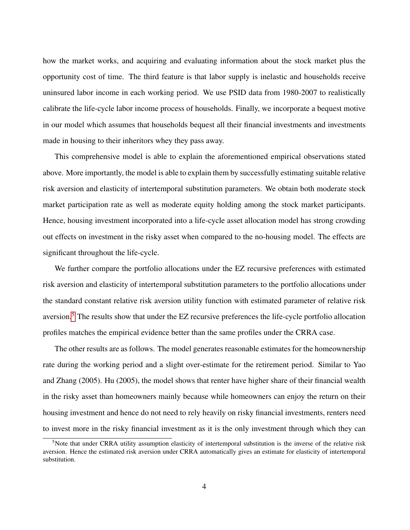how the market works, and acquiring and evaluating information about the stock market plus the opportunity cost of time. The third feature is that labor supply is inelastic and households receive uninsured labor income in each working period. We use PSID data from 1980-2007 to realistically calibrate the life-cycle labor income process of households. Finally, we incorporate a bequest motive in our model which assumes that households bequest all their financial investments and investments made in housing to their inheritors whey they pass away.

This comprehensive model is able to explain the aforementioned empirical observations stated above. More importantly, the model is able to explain them by successfully estimating suitable relative risk aversion and elasticity of intertemporal substitution parameters. We obtain both moderate stock market participation rate as well as moderate equity holding among the stock market participants. Hence, housing investment incorporated into a life-cycle asset allocation model has strong crowding out effects on investment in the risky asset when compared to the no-housing model. The effects are significant throughout the life-cycle.

We further compare the portfolio allocations under the EZ recursive preferences with estimated risk aversion and elasticity of intertemporal substitution parameters to the portfolio allocations under the standard constant relative risk aversion utility function with estimated parameter of relative risk aversion.[5](#page-0-0) The results show that under the EZ recursive preferences the life-cycle portfolio allocation profiles matches the empirical evidence better than the same profiles under the CRRA case.

The other results are as follows. The model generates reasonable estimates for the homeownership rate during the working period and a slight over-estimate for the retirement period. Similar to Yao and Zhang (2005). Hu (2005), the model shows that renter have higher share of their financial wealth in the risky asset than homeowners mainly because while homeowners can enjoy the return on their housing investment and hence do not need to rely heavily on risky financial investments, renters need to invest more in the risky financial investment as it is the only investment through which they can

 $<sup>5</sup>$ Note that under CRRA utility assumption elasticity of intertemporal substitution is the inverse of the relative risk</sup> aversion. Hence the estimated risk aversion under CRRA automatically gives an estimate for elasticity of intertemporal substitution.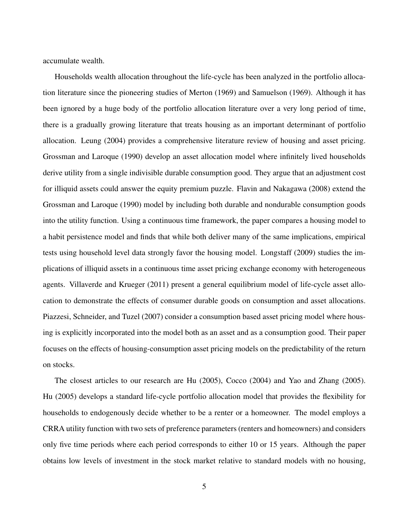accumulate wealth.

Households wealth allocation throughout the life-cycle has been analyzed in the portfolio allocation literature since the pioneering studies of Merton (1969) and Samuelson (1969). Although it has been ignored by a huge body of the portfolio allocation literature over a very long period of time, there is a gradually growing literature that treats housing as an important determinant of portfolio allocation. Leung (2004) provides a comprehensive literature review of housing and asset pricing. Grossman and Laroque (1990) develop an asset allocation model where infinitely lived households derive utility from a single indivisible durable consumption good. They argue that an adjustment cost for illiquid assets could answer the equity premium puzzle. Flavin and Nakagawa (2008) extend the Grossman and Laroque (1990) model by including both durable and nondurable consumption goods into the utility function. Using a continuous time framework, the paper compares a housing model to a habit persistence model and finds that while both deliver many of the same implications, empirical tests using household level data strongly favor the housing model. Longstaff (2009) studies the implications of illiquid assets in a continuous time asset pricing exchange economy with heterogeneous agents. Villaverde and Krueger (2011) present a general equilibrium model of life-cycle asset allocation to demonstrate the effects of consumer durable goods on consumption and asset allocations. Piazzesi, Schneider, and Tuzel (2007) consider a consumption based asset pricing model where housing is explicitly incorporated into the model both as an asset and as a consumption good. Their paper focuses on the effects of housing-consumption asset pricing models on the predictability of the return on stocks.

The closest articles to our research are Hu (2005), Cocco (2004) and Yao and Zhang (2005). Hu (2005) develops a standard life-cycle portfolio allocation model that provides the flexibility for households to endogenously decide whether to be a renter or a homeowner. The model employs a CRRA utility function with two sets of preference parameters (renters and homeowners) and considers only five time periods where each period corresponds to either 10 or 15 years. Although the paper obtains low levels of investment in the stock market relative to standard models with no housing,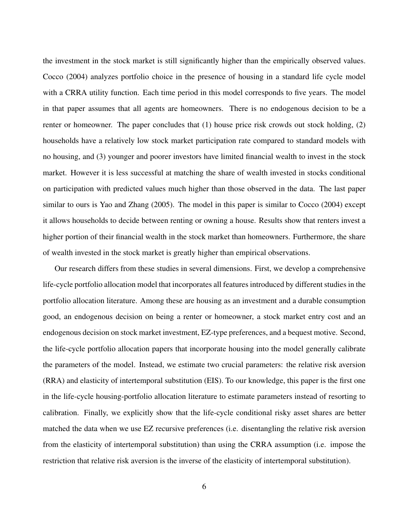the investment in the stock market is still significantly higher than the empirically observed values. Cocco (2004) analyzes portfolio choice in the presence of housing in a standard life cycle model with a CRRA utility function. Each time period in this model corresponds to five years. The model in that paper assumes that all agents are homeowners. There is no endogenous decision to be a renter or homeowner. The paper concludes that (1) house price risk crowds out stock holding, (2) households have a relatively low stock market participation rate compared to standard models with no housing, and (3) younger and poorer investors have limited financial wealth to invest in the stock market. However it is less successful at matching the share of wealth invested in stocks conditional on participation with predicted values much higher than those observed in the data. The last paper similar to ours is Yao and Zhang (2005). The model in this paper is similar to Cocco (2004) except it allows households to decide between renting or owning a house. Results show that renters invest a higher portion of their financial wealth in the stock market than homeowners. Furthermore, the share of wealth invested in the stock market is greatly higher than empirical observations.

Our research differs from these studies in several dimensions. First, we develop a comprehensive life-cycle portfolio allocation model that incorporates all features introduced by different studies in the portfolio allocation literature. Among these are housing as an investment and a durable consumption good, an endogenous decision on being a renter or homeowner, a stock market entry cost and an endogenous decision on stock market investment, EZ-type preferences, and a bequest motive. Second, the life-cycle portfolio allocation papers that incorporate housing into the model generally calibrate the parameters of the model. Instead, we estimate two crucial parameters: the relative risk aversion (RRA) and elasticity of intertemporal substitution (EIS). To our knowledge, this paper is the first one in the life-cycle housing-portfolio allocation literature to estimate parameters instead of resorting to calibration. Finally, we explicitly show that the life-cycle conditional risky asset shares are better matched the data when we use EZ recursive preferences (i.e. disentangling the relative risk aversion from the elasticity of intertemporal substitution) than using the CRRA assumption (i.e. impose the restriction that relative risk aversion is the inverse of the elasticity of intertemporal substitution).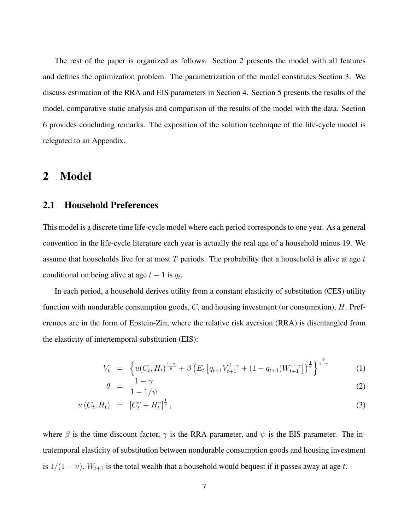The rest of the paper is organized as follows. Section 2 presents the model with all features and defines the optimization problem. The parametrization of the model constitutes Section 3. We discuss estimation of the RRA and EIS parameters in Section 4. Section 5 presents the results of the model, comparative static analysis and comparison of the results of the model with the data. Section 6 provides concluding remarks. The exposition of the solution technique of the life-cycle model is relegated to an Appendix.

## 2 Model

#### 2.1 Household Preferences

This model is a discrete time life-cycle model where each period corresponds to one year. As a general convention in the life-cycle literature each year is actually the real age of a household minus 19. We assume that households live for at most  $T$  periods. The probability that a household is alive at age  $t$ conditional on being alive at age  $t - 1$  is  $q_t$ .

In each period, a household derives utility from a constant elasticity of substitution (CES) utility function with nondurable consumption goods,  $C$ , and housing investment (or consumption),  $H$ . Preferences are in the form of Epstein-Zin, where the relative risk aversion (RRA) is disentangled from the elasticity of intertemporal substitution (EIS):

$$
V_t = \left\{ u(C_t, H_t)^{\frac{1-\gamma}{\theta}} + \beta \left( E_t \left[ q_{t+1} V_{t+1}^{1-\gamma} + (1 - q_{t+1}) W_{t+1}^{1-\gamma} \right] \right)^{\frac{1}{\theta}} \right\}^{\frac{\theta}{1-\gamma}}
$$
(1)

$$
\theta = \frac{1 - \gamma}{1 - 1/\psi} \tag{2}
$$

$$
u(C_t, H_t) = [C_t^v + H_t^v]^{\frac{1}{v}}, \t\t(3)
$$

where  $\beta$  is the time discount factor,  $\gamma$  is the RRA parameter, and  $\psi$  is the EIS parameter. The intratemporal elasticity of substitution between nondurable consumption goods and housing investment is  $1/(1-v)$ .  $W_{t+1}$  is the total wealth that a household would bequest if it passes away at age t.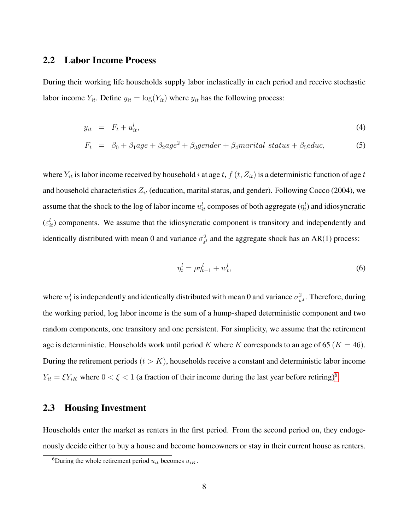## 2.2 Labor Income Process

During their working life households supply labor inelastically in each period and receive stochastic labor income  $Y_{it}$ . Define  $y_{it} = \log(Y_{it})$  where  $y_{it}$  has the following process:

<span id="page-8-0"></span>
$$
y_{it} = F_t + u_{it}^l, \tag{4}
$$

$$
F_t = \beta_0 + \beta_1 age + \beta_2 age^2 + \beta_3 gender + \beta_4 material\_status + \beta_5 educ,
$$
 (5)

where  $Y_{it}$  is labor income received by household i at age t,  $f(t, Z_{it})$  is a deterministic function of age t and household characteristics  $Z_{it}$  (education, marital status, and gender). Following Cocco (2004), we assume that the shock to the log of labor income  $u_{it}^l$  composes of both aggregate  $(\eta_t^l)$  and idiosyncratic  $(\varepsilon_{it}^l)$  components. We assume that the idiosyncratic component is transitory and independently and identically distributed with mean 0 and variance  $\sigma_{\rm s}^2$  $\frac{2}{\epsilon^l}$  and the aggregate shock has an AR(1) process:

$$
\eta_t^l = \rho \eta_{t-1}^l + w_t^l,\tag{6}
$$

where  $w_t^l$  is independently and identically distributed with mean 0 and variance  $\sigma_{w^l}^2$ . Therefore, during the working period, log labor income is the sum of a hump-shaped deterministic component and two random components, one transitory and one persistent. For simplicity, we assume that the retirement age is deterministic. Households work until period K where K corresponds to an age of 65 ( $K = 46$ ). During the retirement periods  $(t > K)$ , households receive a constant and deterministic labor income  $Y_{it} = \xi Y_{iK}$  where  $0 < \xi < 1$  (a fraction of their income during the last year before retiring)<sup>[6](#page-0-0)</sup>.

#### 2.3 Housing Investment

Households enter the market as renters in the first period. From the second period on, they endogenously decide either to buy a house and become homeowners or stay in their current house as renters.

<sup>&</sup>lt;sup>6</sup>During the whole retirement period  $u_{it}$  becomes  $u_{iK}$ .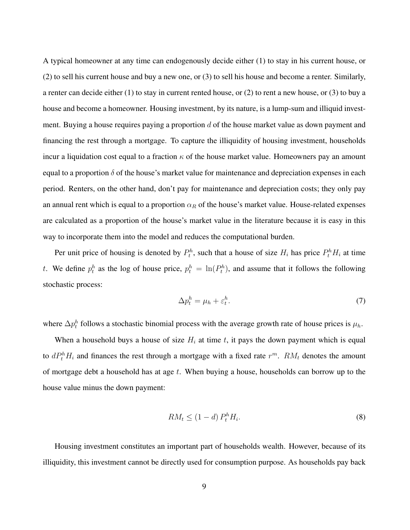A typical homeowner at any time can endogenously decide either (1) to stay in his current house, or (2) to sell his current house and buy a new one, or (3) to sell his house and become a renter. Similarly, a renter can decide either (1) to stay in current rented house, or (2) to rent a new house, or (3) to buy a house and become a homeowner. Housing investment, by its nature, is a lump-sum and illiquid investment. Buying a house requires paying a proportion  $d$  of the house market value as down payment and financing the rest through a mortgage. To capture the illiquidity of housing investment, households incur a liquidation cost equal to a fraction  $\kappa$  of the house market value. Homeowners pay an amount equal to a proportion  $\delta$  of the house's market value for maintenance and depreciation expenses in each period. Renters, on the other hand, don't pay for maintenance and depreciation costs; they only pay an annual rent which is equal to a proportion  $\alpha_R$  of the house's market value. House-related expenses are calculated as a proportion of the house's market value in the literature because it is easy in this way to incorporate them into the model and reduces the computational burden.

<span id="page-9-0"></span>Per unit price of housing is denoted by  $P_t^h$ , such that a house of size  $H_i$  has price  $P_t^h H_i$  at time t. We define  $p_t^h$  as the log of house price,  $p_t^h = \ln(P_t^h)$ , and assume that it follows the following stochastic process:

$$
\Delta p_t^h = \mu_h + \varepsilon_t^h. \tag{7}
$$

where  $\Delta p_t^h$  follows a stochastic binomial process with the average growth rate of house prices is  $\mu_h$ .

When a household buys a house of size  $H_i$  at time t, it pays the down payment which is equal to  $dP_t^hH_i$  and finances the rest through a mortgage with a fixed rate  $r^m$ .  $RM_t$  denotes the amount of mortgage debt a household has at age  $t$ . When buying a house, households can borrow up to the house value minus the down payment:

$$
RM_t \le (1 - d) P_t^h H_i. \tag{8}
$$

Housing investment constitutes an important part of households wealth. However, because of its illiquidity, this investment cannot be directly used for consumption purpose. As households pay back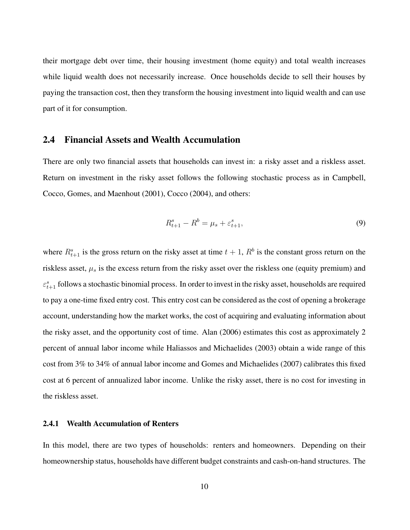their mortgage debt over time, their housing investment (home equity) and total wealth increases while liquid wealth does not necessarily increase. Once households decide to sell their houses by paying the transaction cost, then they transform the housing investment into liquid wealth and can use part of it for consumption.

#### 2.4 Financial Assets and Wealth Accumulation

There are only two financial assets that households can invest in: a risky asset and a riskless asset. Return on investment in the risky asset follows the following stochastic process as in Campbell, Cocco, Gomes, and Maenhout (2001), Cocco (2004), and others:

$$
R_{t+1}^s - R^b = \mu_s + \varepsilon_{t+1}^s,
$$
\n(9)

where  $R_{t+1}^s$  is the gross return on the risky asset at time  $t + 1$ ,  $R^b$  is the constant gross return on the riskless asset,  $\mu_s$  is the excess return from the risky asset over the riskless one (equity premium) and  $\varepsilon_{t+1}^s$  follows a stochastic binomial process. In order to invest in the risky asset, households are required to pay a one-time fixed entry cost. This entry cost can be considered as the cost of opening a brokerage account, understanding how the market works, the cost of acquiring and evaluating information about the risky asset, and the opportunity cost of time. Alan (2006) estimates this cost as approximately 2 percent of annual labor income while Haliassos and Michaelides (2003) obtain a wide range of this cost from 3% to 34% of annual labor income and Gomes and Michaelides (2007) calibrates this fixed cost at 6 percent of annualized labor income. Unlike the risky asset, there is no cost for investing in the riskless asset.

#### 2.4.1 Wealth Accumulation of Renters

In this model, there are two types of households: renters and homeowners. Depending on their homeownership status, households have different budget constraints and cash-on-hand structures. The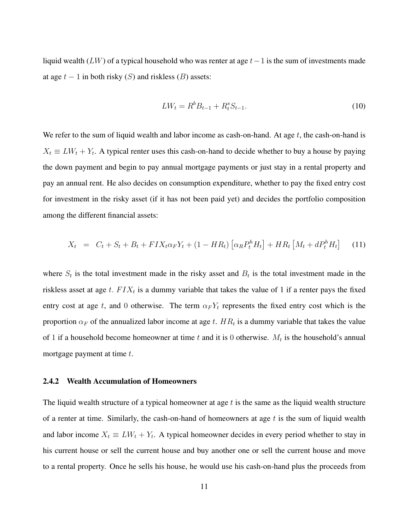liquid wealth (LW) of a typical household who was renter at age  $t-1$  is the sum of investments made at age  $t - 1$  in both risky  $(S)$  and riskless  $(B)$  assets:

$$
LW_t = R^b B_{t-1} + R^s_t S_{t-1}.
$$
\n(10)

We refer to the sum of liquid wealth and labor income as cash-on-hand. At age  $t$ , the cash-on-hand is  $X_t \equiv LW_t + Y_t$ . A typical renter uses this cash-on-hand to decide whether to buy a house by paying the down payment and begin to pay annual mortgage payments or just stay in a rental property and pay an annual rent. He also decides on consumption expenditure, whether to pay the fixed entry cost for investment in the risky asset (if it has not been paid yet) and decides the portfolio composition among the different financial assets:

$$
X_t = C_t + S_t + B_t + FIX_t\alpha_F Y_t + (1 - HR_t)\left[\alpha_R P_t^h H_t\right] + HR_t\left[M_t + dP_t^h H_t\right] \tag{11}
$$

where  $S_t$  is the total investment made in the risky asset and  $B_t$  is the total investment made in the riskless asset at age t.  $FIX_t$  is a dummy variable that takes the value of 1 if a renter pays the fixed entry cost at age t, and 0 otherwise. The term  $\alpha_F Y_t$  represents the fixed entry cost which is the proportion  $\alpha_F$  of the annualized labor income at age t.  $HR_t$  is a dummy variable that takes the value of 1 if a household become homeowner at time t and it is 0 otherwise.  $M_t$  is the household's annual mortgage payment at time  $t$ .

#### 2.4.2 Wealth Accumulation of Homeowners

The liquid wealth structure of a typical homeowner at age  $t$  is the same as the liquid wealth structure of a renter at time. Similarly, the cash-on-hand of homeowners at age  $t$  is the sum of liquid wealth and labor income  $X_t \equiv LW_t + Y_t$ . A typical homeowner decides in every period whether to stay in his current house or sell the current house and buy another one or sell the current house and move to a rental property. Once he sells his house, he would use his cash-on-hand plus the proceeds from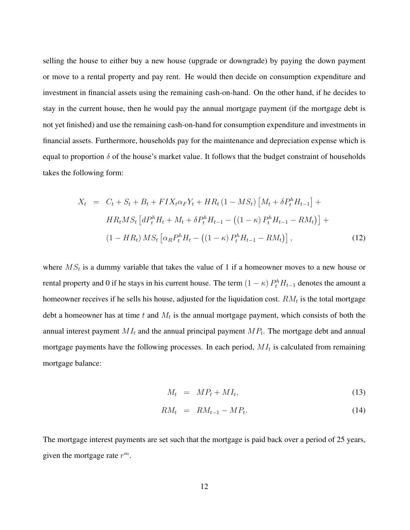selling the house to either buy a new house (upgrade or downgrade) by paying the down payment or move to a rental property and pay rent. He would then decide on consumption expenditure and investment in financial assets using the remaining cash-on-hand. On the other hand, if he decides to stay in the current house, then he would pay the annual mortgage payment (if the mortgage debt is not yet finished) and use the remaining cash-on-hand for consumption expenditure and investments in financial assets. Furthermore, households pay for the maintenance and depreciation expense which is equal to proportion  $\delta$  of the house's market value. It follows that the budget constraint of households takes the following form:

$$
X_t = C_t + S_t + B_t + FIX_t\alpha_F Y_t + HR_t (1 - MS_t) \left[ M_t + \delta P_t^h H_{t-1} \right] +\nHR_t MS_t \left[ dP_t^h H_t + M_t + \delta P_t^h H_{t-1} - ((1 - \kappa) P_t^h H_{t-1} - RM_t) \right] +\n(1 - HR_t) MS_t \left[ \alpha_R P_t^h H_t - ((1 - \kappa) P_t^h H_{t-1} - RM_t) \right],
$$
\n(12)

where  $MS_t$  is a dummy variable that takes the value of 1 if a homeowner moves to a new house or rental property and 0 if he stays in his current house. The term  $(1 - \kappa) P_t^h H_{t-1}$  denotes the amount a homeowner receives if he sells his house, adjusted for the liquidation cost.  $RM_t$  is the total mortgage debt a homeowner has at time t and  $M_t$  is the annual mortgage payment, which consists of both the annual interest payment  $MI_t$  and the annual principal payment  $MP_t$ . The mortgage debt and annual mortgage payments have the following processes. In each period,  $MI_t$  is calculated from remaining mortgage balance:

$$
M_t = MP_t + MI_t, \tag{13}
$$

$$
RM_t = RM_{t-1} - MP_t. \tag{14}
$$

The mortgage interest payments are set such that the mortgage is paid back over a period of 25 years, given the mortgage rate  $r^m$ .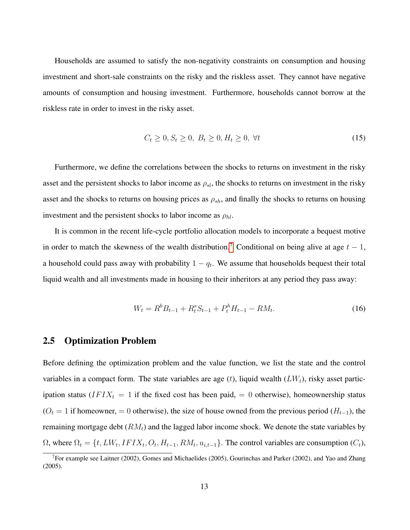Households are assumed to satisfy the non-negativity constraints on consumption and housing investment and short-sale constraints on the risky and the riskless asset. They cannot have negative amounts of consumption and housing investment. Furthermore, households cannot borrow at the riskless rate in order to invest in the risky asset.

$$
C_t \ge 0, S_t \ge 0, B_t \ge 0, H_t \ge 0, \forall t
$$
\n(15)

Furthermore, we define the correlations between the shocks to returns on investment in the risky asset and the persistent shocks to labor income as  $\rho_{sl}$ , the shocks to returns on investment in the risky asset and the shocks to returns on housing prices as  $\rho_{sh}$ , and finally the shocks to returns on housing investment and the persistent shocks to labor income as  $\rho_{hl}$ .

It is common in the recent life-cycle portfolio allocation models to incorporate a bequest motive in order to match the skewness of the wealth distribution.<sup>[7](#page-0-0)</sup> Conditional on being alive at age  $t - 1$ , a household could pass away with probability  $1 - q_t$ . We assume that households bequest their total liquid wealth and all investments made in housing to their inheritors at any period they pass away:

<span id="page-13-0"></span>
$$
W_t = R^b B_{t-1} + R^s_t S_{t-1} + P^h_t H_{t-1} - RM_t.
$$
\n<sup>(16)</sup>

#### 2.5 Optimization Problem

Before defining the optimization problem and the value function, we list the state and the control variables in a compact form. The state variables are age  $(t)$ , liquid wealth  $(LW_t)$ , risky asset participation status ( $IFIX_t = 1$  if the fixed cost has been paid, = 0 otherwise), homeownership status  $(O_t = 1$  if homeowner, = 0 otherwise), the size of house owned from the previous period  $(H_{t-1})$ , the remaining mortgage debt  $(RM_t)$  and the lagged labor income shock. We denote the state variables by  $\Omega$ , where  $\Omega_t = \{t, LW_t, IFIX_t, O_t, H_{t-1}, RM_t, u_{i,t-1}\}.$  The control variables are consumption  $(C_t)$ ,

<sup>&</sup>lt;sup>7</sup>For example see Laitner (2002), Gomes and Michaelides (2005), Gourinchas and Parker (2002), and Yao and Zhang (2005).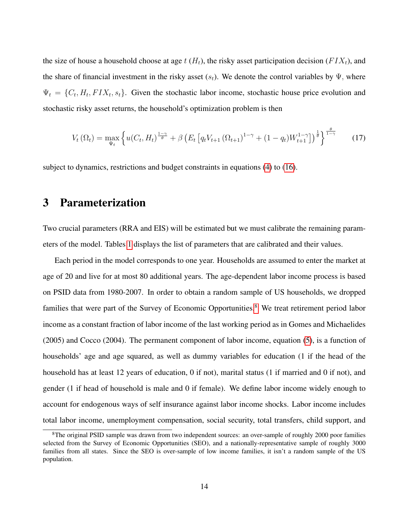the size of house a household choose at age  $t$  ( $H_t$ ), the risky asset participation decision ( $FIX_t$ ), and the share of financial investment in the risky asset  $(s_t)$ . We denote the control variables by  $\Psi$ , where  $\Psi_t = \{C_t, H_t, FIX_t, s_t\}.$  Given the stochastic labor income, stochastic house price evolution and stochastic risky asset returns, the household's optimization problem is then

$$
V_t(\Omega_t) = \max_{\Psi_t} \left\{ u(C_t, H_t)^{\frac{1-\gamma}{\theta}} + \beta \left( E_t \left[ q_t V_{t+1} (\Omega_{t+1})^{1-\gamma} + (1-q_t) W_{t+1}^{1-\gamma} \right] \right)^{\frac{1}{\theta}} \right\}^{\frac{\theta}{1-\gamma}}
$$
(17)

subject to dynamics, restrictions and budget constraints in equations [\(4\)](#page-8-0) to [\(16\)](#page-13-0).

## 3 Parameterization

Two crucial parameters (RRA and EIS) will be estimated but we must calibrate the remaining parameters of the model. Tables [1](#page-17-0) displays the list of parameters that are calibrated and their values.

Each period in the model corresponds to one year. Households are assumed to enter the market at age of 20 and live for at most 80 additional years. The age-dependent labor income process is based on PSID data from 1980-2007. In order to obtain a random sample of US households, we dropped families that were part of the Survey of Economic Opportunities.<sup>[8](#page-0-0)</sup> We treat retirement period labor income as a constant fraction of labor income of the last working period as in Gomes and Michaelides (2005) and Cocco (2004). The permanent component of labor income, equation [\(5\)](#page-8-0), is a function of households' age and age squared, as well as dummy variables for education (1 if the head of the household has at least 12 years of education, 0 if not), marital status (1 if married and 0 if not), and gender (1 if head of household is male and 0 if female). We define labor income widely enough to account for endogenous ways of self insurance against labor income shocks. Labor income includes total labor income, unemployment compensation, social security, total transfers, child support, and

<sup>&</sup>lt;sup>8</sup>The original PSID sample was drawn from two independent sources: an over-sample of roughly 2000 poor families selected from the Survey of Economic Opportunities (SEO), and a nationally-representative sample of roughly 3000 families from all states. Since the SEO is over-sample of low income families, it isn't a random sample of the US population.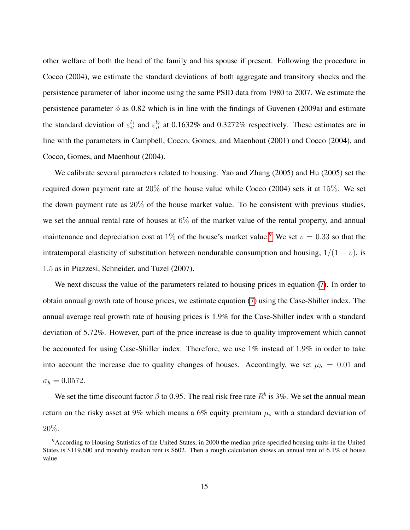other welfare of both the head of the family and his spouse if present. Following the procedure in Cocco (2004), we estimate the standard deviations of both aggregate and transitory shocks and the persistence parameter of labor income using the same PSID data from 1980 to 2007. We estimate the persistence parameter  $\phi$  as 0.82 which is in line with the findings of Guvenen (2009a) and estimate the standard deviation of  $\varepsilon_{it}^{l_1}$  and  $\varepsilon_{it}^{l_2}$  at 0.1632% and 0.3272% respectively. These estimates are in line with the parameters in Campbell, Cocco, Gomes, and Maenhout (2001) and Cocco (2004), and Cocco, Gomes, and Maenhout (2004).

We calibrate several parameters related to housing. Yao and Zhang (2005) and Hu (2005) set the required down payment rate at 20% of the house value while Cocco (2004) sets it at 15%. We set the down payment rate as 20% of the house market value. To be consistent with previous studies, we set the annual rental rate of houses at 6% of the market value of the rental property, and annual maintenance and depreciation cost at 1% of the house's market value.<sup>[9](#page-0-0)</sup> We set  $v = 0.33$  so that the intratemporal elasticity of substitution between nondurable consumption and housing,  $1/(1 - v)$ , is 1.5 as in Piazzesi, Schneider, and Tuzel (2007).

We next discuss the value of the parameters related to housing prices in equation [\(7\)](#page-9-0). In order to obtain annual growth rate of house prices, we estimate equation [\(7\)](#page-9-0) using the Case-Shiller index. The annual average real growth rate of housing prices is 1.9% for the Case-Shiller index with a standard deviation of 5.72%. However, part of the price increase is due to quality improvement which cannot be accounted for using Case-Shiller index. Therefore, we use 1% instead of 1.9% in order to take into account the increase due to quality changes of houses. Accordingly, we set  $\mu_h = 0.01$  and  $\sigma_h = 0.0572.$ 

We set the time discount factor  $\beta$  to 0.95. The real risk free rate  $R^b$  is 3%. We set the annual mean return on the risky asset at 9% which means a 6% equity premium  $\mu_s$  with a standard deviation of 20%.

<sup>&</sup>lt;sup>9</sup>According to Housing Statistics of the United States, in 2000 the median price specified housing units in the United States is \$119,600 and monthly median rent is \$602. Then a rough calculation shows an annual rent of 6.1% of house value.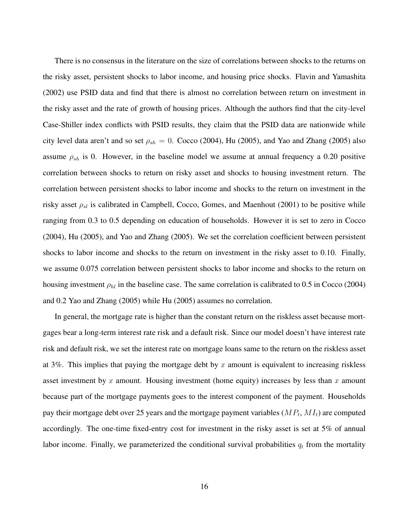There is no consensus in the literature on the size of correlations between shocks to the returns on the risky asset, persistent shocks to labor income, and housing price shocks. Flavin and Yamashita (2002) use PSID data and find that there is almost no correlation between return on investment in the risky asset and the rate of growth of housing prices. Although the authors find that the city-level Case-Shiller index conflicts with PSID results, they claim that the PSID data are nationwide while city level data aren't and so set  $\rho_{sh} = 0$ . Cocco (2004), Hu (2005), and Yao and Zhang (2005) also assume  $\rho_{sh}$  is 0. However, in the baseline model we assume at annual frequency a 0.20 positive correlation between shocks to return on risky asset and shocks to housing investment return. The correlation between persistent shocks to labor income and shocks to the return on investment in the risky asset  $\rho_{sl}$  is calibrated in Campbell, Cocco, Gomes, and Maenhout (2001) to be positive while ranging from 0.3 to 0.5 depending on education of households. However it is set to zero in Cocco (2004), Hu (2005), and Yao and Zhang (2005). We set the correlation coefficient between persistent shocks to labor income and shocks to the return on investment in the risky asset to 0.10. Finally, we assume 0.075 correlation between persistent shocks to labor income and shocks to the return on housing investment  $\rho_{hl}$  in the baseline case. The same correlation is calibrated to 0.5 in Cocco (2004) and 0.2 Yao and Zhang (2005) while Hu (2005) assumes no correlation.

In general, the mortgage rate is higher than the constant return on the riskless asset because mortgages bear a long-term interest rate risk and a default risk. Since our model doesn't have interest rate risk and default risk, we set the interest rate on mortgage loans same to the return on the riskless asset at 3%. This implies that paying the mortgage debt by x amount is equivalent to increasing riskless asset investment by x amount. Housing investment (home equity) increases by less than x amount because part of the mortgage payments goes to the interest component of the payment. Households pay their mortgage debt over 25 years and the mortgage payment variables  $(MP_t, MI_t)$  are computed accordingly. The one-time fixed-entry cost for investment in the risky asset is set at 5% of annual labor income. Finally, we parameterized the conditional survival probabilities  $q_t$  from the mortality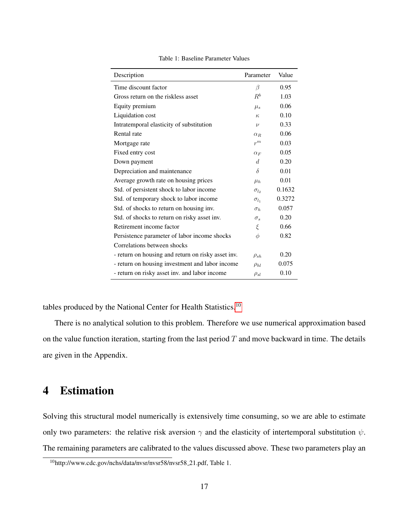<span id="page-17-0"></span>

| Description                                        | Parameter      | Value  |
|----------------------------------------------------|----------------|--------|
| Time discount factor                               | β              | 0.95   |
| Gross return on the riskless asset                 | $R^b$          | 1.03   |
| Equity premium                                     | $\mu_s$        | 0.06   |
| Liquidation cost                                   | $K_{i}$        | 0.10   |
| Intratemporal elasticity of substitution           | $\nu$          | 0.33   |
| Rental rate                                        | $\alpha_R$     | 0.06   |
| Mortgage rate                                      | $r^m$          | 0.03   |
| Fixed entry cost                                   | $\alpha_F$     | 0.05   |
| Down payment                                       | d              | 0.20   |
| Depreciation and maintenance                       | $\delta$       | 0.01   |
| Average growth rate on housing prices              | $\mu_h$        | 0.01   |
| Std. of persistent shock to labor income           | $\sigma_{l_2}$ | 0.1632 |
| Std. of temporary shock to labor income            | $\sigma_{l_1}$ | 0.3272 |
| Std. of shocks to return on housing inv.           | $\sigma_h$     | 0.057  |
| Std. of shocks to return on risky asset inv.       | $\sigma_s$     | 0.20   |
| Retirement income factor                           | ξ              | 0.66   |
| Persistence parameter of labor income shocks       | $\phi$         | 0.82   |
| Correlations between shocks                        |                |        |
| - return on housing and return on risky asset inv. | $\rho_{sh}$    | 0.20   |
| - return on housing investment and labor income    | $\rho_{hl}$    | 0.075  |
| - return on risky asset inv. and labor income      | $\rho_{sl}$    | 0.10   |

Table 1: Baseline Parameter Values

tables produced by the National Center for Health Statistics.[10](#page-0-0)

There is no analytical solution to this problem. Therefore we use numerical approximation based on the value function iteration, starting from the last period  $T$  and move backward in time. The details are given in the Appendix.

## 4 Estimation

Solving this structural model numerically is extensively time consuming, so we are able to estimate only two parameters: the relative risk aversion  $\gamma$  and the elasticity of intertemporal substitution  $\psi$ . The remaining parameters are calibrated to the values discussed above. These two parameters play an

<sup>10</sup>http://www.cdc.gov/nchs/data/nvsr/nvsr58/nvsr58 21.pdf, Table 1.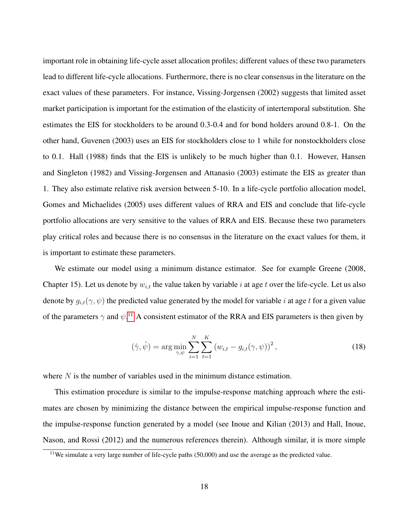important role in obtaining life-cycle asset allocation profiles; different values of these two parameters lead to different life-cycle allocations. Furthermore, there is no clear consensus in the literature on the exact values of these parameters. For instance, Vissing-Jorgensen (2002) suggests that limited asset market participation is important for the estimation of the elasticity of intertemporal substitution. She estimates the EIS for stockholders to be around 0.3-0.4 and for bond holders around 0.8-1. On the other hand, Guvenen (2003) uses an EIS for stockholders close to 1 while for nonstockholders close to 0.1. Hall (1988) finds that the EIS is unlikely to be much higher than 0.1. However, Hansen and Singleton (1982) and Vissing-Jorgensen and Attanasio (2003) estimate the EIS as greater than 1. They also estimate relative risk aversion between 5-10. In a life-cycle portfolio allocation model, Gomes and Michaelides (2005) uses different values of RRA and EIS and conclude that life-cycle portfolio allocations are very sensitive to the values of RRA and EIS. Because these two parameters play critical roles and because there is no consensus in the literature on the exact values for them, it is important to estimate these parameters.

We estimate our model using a minimum distance estimator. See for example Greene (2008, Chapter 15). Let us denote by  $w_{i,t}$  the value taken by variable i at age t over the life-cycle. Let us also denote by  $g_{i,t}(\gamma, \psi)$  the predicted value generated by the model for variable i at age t for a given value of the parameters  $\gamma$  and  $\psi$ .<sup>[11](#page-0-0)</sup> A consistent estimator of the RRA and EIS parameters is then given by

$$
(\hat{\gamma}, \hat{\psi}) = \arg \min_{\gamma, \psi} \sum_{i=1}^{N} \sum_{t=1}^{K} (w_{i,t} - g_{i,t}(\gamma, \psi))^2,
$$
 (18)

where  $N$  is the number of variables used in the minimum distance estimation.

This estimation procedure is similar to the impulse-response matching approach where the estimates are chosen by minimizing the distance between the empirical impulse-response function and the impulse-response function generated by a model (see Inoue and Kilian (2013) and Hall, Inoue, Nason, and Rossi (2012) and the numerous references therein). Although similar, it is more simple

 $11$ We simulate a very large number of life-cycle paths (50,000) and use the average as the predicted value.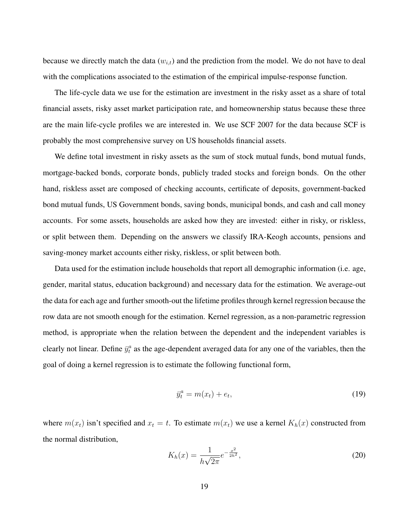because we directly match the data  $(w_{i,t})$  and the prediction from the model. We do not have to deal with the complications associated to the estimation of the empirical impulse-response function.

The life-cycle data we use for the estimation are investment in the risky asset as a share of total financial assets, risky asset market participation rate, and homeownership status because these three are the main life-cycle profiles we are interested in. We use SCF 2007 for the data because SCF is probably the most comprehensive survey on US households financial assets.

We define total investment in risky assets as the sum of stock mutual funds, bond mutual funds, mortgage-backed bonds, corporate bonds, publicly traded stocks and foreign bonds. On the other hand, riskless asset are composed of checking accounts, certificate of deposits, government-backed bond mutual funds, US Government bonds, saving bonds, municipal bonds, and cash and call money accounts. For some assets, households are asked how they are invested: either in risky, or riskless, or split between them. Depending on the answers we classify IRA-Keogh accounts, pensions and saving-money market accounts either risky, riskless, or split between both.

Data used for the estimation include households that report all demographic information (i.e. age, gender, marital status, education background) and necessary data for the estimation. We average-out the data for each age and further smooth-out the lifetime profiles through kernel regression because the row data are not smooth enough for the estimation. Kernel regression, as a non-parametric regression method, is appropriate when the relation between the dependent and the independent variables is clearly not linear. Define  $\bar{y}_t^a$  as the age-dependent averaged data for any one of the variables, then the goal of doing a kernel regression is to estimate the following functional form,

$$
\bar{y}_t^a = m(x_t) + e_t,\tag{19}
$$

where  $m(x_t)$  isn't specified and  $x_t = t$ . To estimate  $m(x_t)$  we use a kernel  $K_h(x)$  constructed from the normal distribution,

$$
K_h(x) = \frac{1}{h\sqrt{2\pi}}e^{-\frac{x^2}{2h^2}},\tag{20}
$$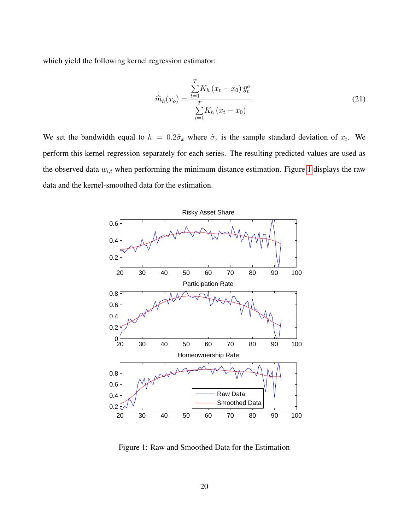which yield the following kernel regression estimator:

$$
\widehat{m}_h(x_o) = \frac{\sum_{t=1}^T K_h (x_t - x_0) \,\bar{y}_t^a}{\sum_{t=1}^T K_h (x_t - x_0)}.
$$
\n(21)

We set the bandwidth equal to  $h = 0.2\hat{\sigma}_x$  where  $\hat{\sigma}_x$  is the sample standard deviation of  $x_t$ . We perform this kernel regression separately for each series. The resulting predicted values are used as the observed data  $w_{i,t}$  when performing the minimum distance estimation. Figure [1](#page-20-0) displays the raw data and the kernel-smoothed data for the estimation.

<span id="page-20-0"></span>

Figure 1: Raw and Smoothed Data for the Estimation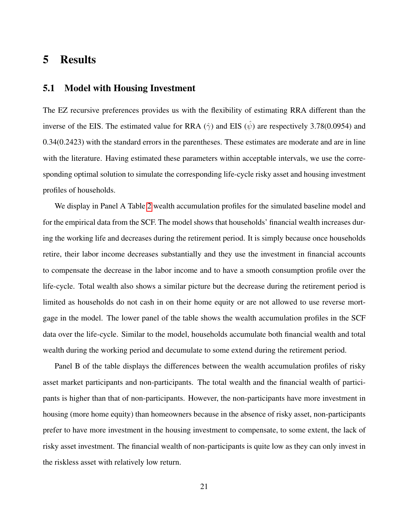## 5 Results

## 5.1 Model with Housing Investment

The EZ recursive preferences provides us with the flexibility of estimating RRA different than the inverse of the EIS. The estimated value for RRA  $(\hat{\gamma})$  and EIS  $(\hat{\psi})$  are respectively 3.78(0.0954) and 0.34(0.2423) with the standard errors in the parentheses. These estimates are moderate and are in line with the literature. Having estimated these parameters within acceptable intervals, we use the corresponding optimal solution to simulate the corresponding life-cycle risky asset and housing investment profiles of households.

We display in Panel A Table [2](#page-22-0) wealth accumulation profiles for the simulated baseline model and for the empirical data from the SCF. The model shows that households' financial wealth increases during the working life and decreases during the retirement period. It is simply because once households retire, their labor income decreases substantially and they use the investment in financial accounts to compensate the decrease in the labor income and to have a smooth consumption profile over the life-cycle. Total wealth also shows a similar picture but the decrease during the retirement period is limited as households do not cash in on their home equity or are not allowed to use reverse mortgage in the model. The lower panel of the table shows the wealth accumulation profiles in the SCF data over the life-cycle. Similar to the model, households accumulate both financial wealth and total wealth during the working period and decumulate to some extend during the retirement period.

Panel B of the table displays the differences between the wealth accumulation profiles of risky asset market participants and non-participants. The total wealth and the financial wealth of participants is higher than that of non-participants. However, the non-participants have more investment in housing (more home equity) than homeowners because in the absence of risky asset, non-participants prefer to have more investment in the housing investment to compensate, to some extent, the lack of risky asset investment. The financial wealth of non-participants is quite low as they can only invest in the riskless asset with relatively low return.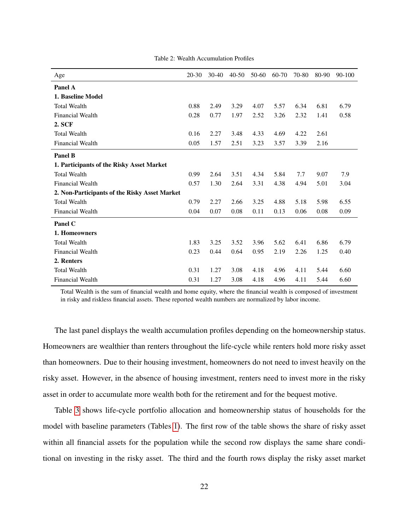<span id="page-22-0"></span>

| Age                                           | $20-30$ | $30-40$ | $40 - 50$ | 50-60 | 60-70 | 70-80 | 80-90 | 90-100 |
|-----------------------------------------------|---------|---------|-----------|-------|-------|-------|-------|--------|
| Panel A                                       |         |         |           |       |       |       |       |        |
| 1. Baseline Model                             |         |         |           |       |       |       |       |        |
| <b>Total Wealth</b>                           | 0.88    | 2.49    | 3.29      | 4.07  | 5.57  | 6.34  | 6.81  | 6.79   |
| <b>Financial Wealth</b>                       | 0.28    | 0.77    | 1.97      | 2.52  | 3.26  | 2.32  | 1.41  | 0.58   |
| 2. SCF                                        |         |         |           |       |       |       |       |        |
| <b>Total Wealth</b>                           | 0.16    | 2.27    | 3.48      | 4.33  | 4.69  | 4.22  | 2.61  |        |
| <b>Financial Wealth</b>                       | 0.05    | 1.57    | 2.51      | 3.23  | 3.57  | 3.39  | 2.16  |        |
| <b>Panel B</b>                                |         |         |           |       |       |       |       |        |
| 1. Participants of the Risky Asset Market     |         |         |           |       |       |       |       |        |
| <b>Total Wealth</b>                           | 0.99    | 2.64    | 3.51      | 4.34  | 5.84  | 7.7   | 9.07  | 7.9    |
| <b>Financial Wealth</b>                       | 0.57    | 1.30    | 2.64      | 3.31  | 4.38  | 4.94  | 5.01  | 3.04   |
| 2. Non-Participants of the Risky Asset Market |         |         |           |       |       |       |       |        |
| <b>Total Wealth</b>                           | 0.79    | 2.27    | 2.66      | 3.25  | 4.88  | 5.18  | 5.98  | 6.55   |
| <b>Financial Wealth</b>                       | 0.04    | 0.07    | 0.08      | 0.11  | 0.13  | 0.06  | 0.08  | 0.09   |
| Panel C                                       |         |         |           |       |       |       |       |        |
| 1. Homeowners                                 |         |         |           |       |       |       |       |        |
| <b>Total Wealth</b>                           | 1.83    | 3.25    | 3.52      | 3.96  | 5.62  | 6.41  | 6.86  | 6.79   |
| <b>Financial Wealth</b>                       | 0.23    | 0.44    | 0.64      | 0.95  | 2.19  | 2.26  | 1.25  | 0.40   |
| 2. Renters                                    |         |         |           |       |       |       |       |        |
| <b>Total Wealth</b>                           | 0.31    | 1.27    | 3.08      | 4.18  | 4.96  | 4.11  | 5.44  | 6.60   |
| <b>Financial Wealth</b>                       | 0.31    | 1.27    | 3.08      | 4.18  | 4.96  | 4.11  | 5.44  | 6.60   |

Table 2: Wealth Accumulation Profiles

Total Wealth is the sum of financial wealth and home equity, where the financial wealth is composed of investment in risky and riskless financial assets. These reported wealth numbers are normalized by labor income.

The last panel displays the wealth accumulation profiles depending on the homeownership status. Homeowners are wealthier than renters throughout the life-cycle while renters hold more risky asset than homeowners. Due to their housing investment, homeowners do not need to invest heavily on the risky asset. However, in the absence of housing investment, renters need to invest more in the risky asset in order to accumulate more wealth both for the retirement and for the bequest motive.

Table [3](#page-23-0) shows life-cycle portfolio allocation and homeownership status of households for the model with baseline parameters (Tables [1\)](#page-17-0). The first row of the table shows the share of risky asset within all financial assets for the population while the second row displays the same share conditional on investing in the risky asset. The third and the fourth rows display the risky asset market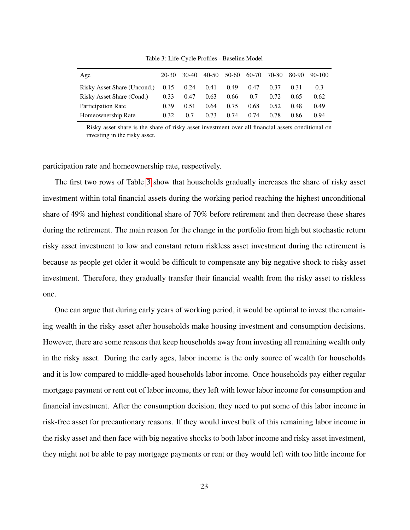<span id="page-23-0"></span>

| 20-30 | 30-40 | 40-50                                 | 50-60 | 60-70 | 70-80 |      | 80-90 90-100 |
|-------|-------|---------------------------------------|-------|-------|-------|------|--------------|
|       |       | 0.41                                  | 0.49  | 0.47  | 0.37  | 0.31 | 0.3          |
| 0.33  | 0.47  | 0.63                                  | 0.66  | 0.7   | 0.72  | 0.65 | 0.62         |
| 0.39  | 0.51  | 0.64                                  | 0.75  | 0.68  | 0.52  | 0.48 | 0.49         |
| 0.32. | 0.7   | 0.73                                  | 0.74  | 0.74  | 0.78  | 0.86 | 0.94         |
|       |       | Risky Asset Share (Uncond.) 0.15 0.24 |       |       |       |      |              |

Table 3: Life-Cycle Profiles - Baseline Model

Risky asset share is the share of risky asset investment over all financial assets conditional on investing in the risky asset.

participation rate and homeownership rate, respectively.

The first two rows of Table [3](#page-23-0) show that households gradually increases the share of risky asset investment within total financial assets during the working period reaching the highest unconditional share of 49% and highest conditional share of 70% before retirement and then decrease these shares during the retirement. The main reason for the change in the portfolio from high but stochastic return risky asset investment to low and constant return riskless asset investment during the retirement is because as people get older it would be difficult to compensate any big negative shock to risky asset investment. Therefore, they gradually transfer their financial wealth from the risky asset to riskless one.

One can argue that during early years of working period, it would be optimal to invest the remaining wealth in the risky asset after households make housing investment and consumption decisions. However, there are some reasons that keep households away from investing all remaining wealth only in the risky asset. During the early ages, labor income is the only source of wealth for households and it is low compared to middle-aged households labor income. Once households pay either regular mortgage payment or rent out of labor income, they left with lower labor income for consumption and financial investment. After the consumption decision, they need to put some of this labor income in risk-free asset for precautionary reasons. If they would invest bulk of this remaining labor income in the risky asset and then face with big negative shocks to both labor income and risky asset investment, they might not be able to pay mortgage payments or rent or they would left with too little income for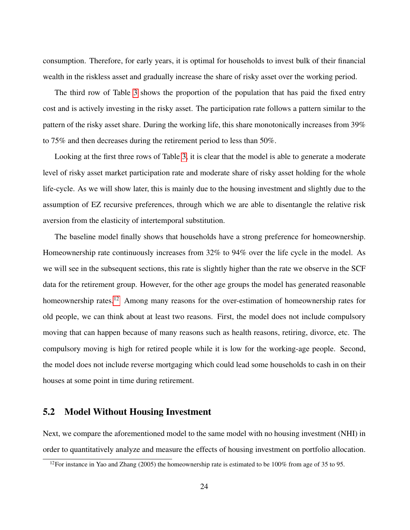consumption. Therefore, for early years, it is optimal for households to invest bulk of their financial wealth in the riskless asset and gradually increase the share of risky asset over the working period.

The third row of Table [3](#page-23-0) shows the proportion of the population that has paid the fixed entry cost and is actively investing in the risky asset. The participation rate follows a pattern similar to the pattern of the risky asset share. During the working life, this share monotonically increases from 39% to 75% and then decreases during the retirement period to less than 50%.

Looking at the first three rows of Table [3,](#page-23-0) it is clear that the model is able to generate a moderate level of risky asset market participation rate and moderate share of risky asset holding for the whole life-cycle. As we will show later, this is mainly due to the housing investment and slightly due to the assumption of EZ recursive preferences, through which we are able to disentangle the relative risk aversion from the elasticity of intertemporal substitution.

The baseline model finally shows that households have a strong preference for homeownership. Homeownership rate continuously increases from 32% to 94% over the life cycle in the model. As we will see in the subsequent sections, this rate is slightly higher than the rate we observe in the SCF data for the retirement group. However, for the other age groups the model has generated reasonable homeownership rates.<sup>[12](#page-0-0)</sup> Among many reasons for the over-estimation of homeownership rates for old people, we can think about at least two reasons. First, the model does not include compulsory moving that can happen because of many reasons such as health reasons, retiring, divorce, etc. The compulsory moving is high for retired people while it is low for the working-age people. Second, the model does not include reverse mortgaging which could lead some households to cash in on their houses at some point in time during retirement.

### 5.2 Model Without Housing Investment

Next, we compare the aforementioned model to the same model with no housing investment (NHI) in order to quantitatively analyze and measure the effects of housing investment on portfolio allocation.

<sup>&</sup>lt;sup>12</sup>For instance in Yao and Zhang (2005) the homeownership rate is estimated to be 100% from age of 35 to 95.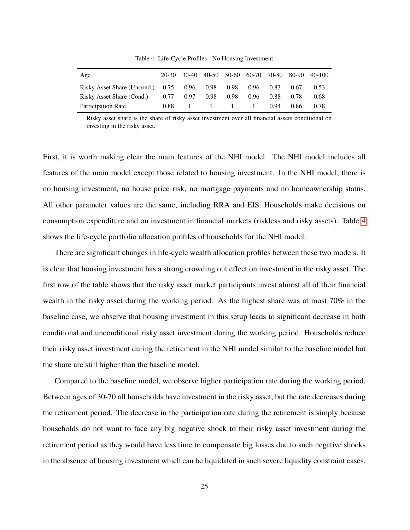<span id="page-25-0"></span>

| Age                                                  | 20-30       |                    |      |           |      | 30-40 40-50 50-60 60-70 70-80 80-90 90-100 |
|------------------------------------------------------|-------------|--------------------|------|-----------|------|--------------------------------------------|
| Risky Asset Share (Uncond.) 0.75 0.96 0.98 0.98 0.96 |             |                    |      | 0.83      | 0.67 | 0.53                                       |
| Risky Asset Share (Cond.)                            | $0.77$ 0.97 | 0.98 0.98          | 0.96 | 0.88 0.78 |      | 0.68                                       |
| Participation Rate                                   | 0.88        | $1 \t 1 \t 1 \t 1$ |      | 0.94      | 0.86 | 0.78                                       |

Table 4: Life-Cycle Profiles - No Housing Investment

Risky asset share is the share of risky asset investment over all financial assets conditional on investing in the risky asset.

First, it is worth making clear the main features of the NHI model. The NHI model includes all features of the main model except those related to housing investment. In the NHI model, there is no housing investment, no house price risk, no mortgage payments and no homeownership status. All other parameter values are the same, including RRA and EIS. Households make decisions on consumption expenditure and on investment in financial markets (riskless and risky assets). Table [4](#page-25-0) shows the life-cycle portfolio allocation profiles of households for the NHI model.

There are significant changes in life-cycle wealth allocation profiles between these two models. It is clear that housing investment has a strong crowding out effect on investment in the risky asset. The first row of the table shows that the risky asset market participants invest almost all of their financial wealth in the risky asset during the working period. As the highest share was at most 70% in the baseline case, we observe that housing investment in this setup leads to significant decrease in both conditional and unconditional risky asset investment during the working period. Households reduce their risky asset investment during the retirement in the NHI model similar to the baseline model but the share are still higher than the baseline model.

Compared to the baseline model, we observe higher participation rate during the working period. Between ages of 30-70 all households have investment in the risky asset, but the rate decreases during the retirement period. The decrease in the participation rate during the retirement is simply because households do not want to face any big negative shock to their risky asset investment during the retirement period as they would have less time to compensate big losses due to such negative shocks in the absence of housing investment which can be liquidated in such severe liquidity constraint cases.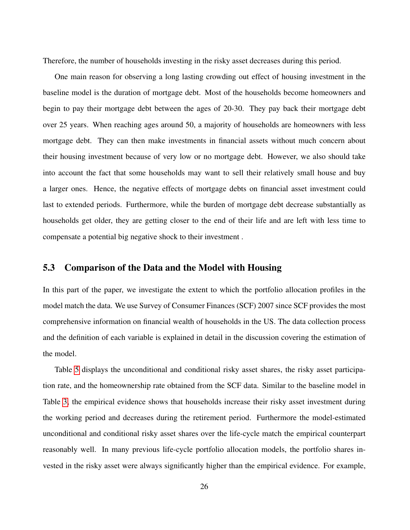Therefore, the number of households investing in the risky asset decreases during this period.

One main reason for observing a long lasting crowding out effect of housing investment in the baseline model is the duration of mortgage debt. Most of the households become homeowners and begin to pay their mortgage debt between the ages of 20-30. They pay back their mortgage debt over 25 years. When reaching ages around 50, a majority of households are homeowners with less mortgage debt. They can then make investments in financial assets without much concern about their housing investment because of very low or no mortgage debt. However, we also should take into account the fact that some households may want to sell their relatively small house and buy a larger ones. Hence, the negative effects of mortgage debts on financial asset investment could last to extended periods. Furthermore, while the burden of mortgage debt decrease substantially as households get older, they are getting closer to the end of their life and are left with less time to compensate a potential big negative shock to their investment .

## 5.3 Comparison of the Data and the Model with Housing

In this part of the paper, we investigate the extent to which the portfolio allocation profiles in the model match the data. We use Survey of Consumer Finances (SCF) 2007 since SCF provides the most comprehensive information on financial wealth of households in the US. The data collection process and the definition of each variable is explained in detail in the discussion covering the estimation of the model.

Table [5](#page-27-0) displays the unconditional and conditional risky asset shares, the risky asset participation rate, and the homeownership rate obtained from the SCF data. Similar to the baseline model in Table [3,](#page-23-0) the empirical evidence shows that households increase their risky asset investment during the working period and decreases during the retirement period. Furthermore the model-estimated unconditional and conditional risky asset shares over the life-cycle match the empirical counterpart reasonably well. In many previous life-cycle portfolio allocation models, the portfolio shares invested in the risky asset were always significantly higher than the empirical evidence. For example,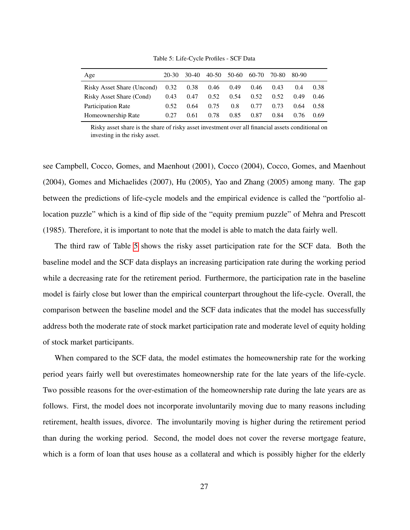<span id="page-27-0"></span>

| Age                                  | 20-30 | 30-40 | 40-50 |      | 50-60 60-70 | 70-80 | 80-90 |      |
|--------------------------------------|-------|-------|-------|------|-------------|-------|-------|------|
| Risky Asset Share (Uncond) 0.32 0.38 |       |       | 0.46  | 0.49 | 0.46        | 0.43  | 0.4   | 0.38 |
| Risky Asset Share (Cond)             | 0.43  | 0.47  | 0.52  | 0.54 | 0.52        | 0.52  | 0.49  | 0.46 |
| Participation Rate                   | 0.52  | 0.64  | 0.75  | 0.8  | 0.77        | 0.73  | 0.64  | 0.58 |
| Homeownership Rate                   | 0.27  | 0.61  | 0.78  | 0.85 | 0.87        | 0.84  | 0.76  | 0.69 |

Table 5: Life-Cycle Profiles - SCF Data

Risky asset share is the share of risky asset investment over all financial assets conditional on investing in the risky asset.

see Campbell, Cocco, Gomes, and Maenhout (2001), Cocco (2004), Cocco, Gomes, and Maenhout (2004), Gomes and Michaelides (2007), Hu (2005), Yao and Zhang (2005) among many. The gap between the predictions of life-cycle models and the empirical evidence is called the "portfolio allocation puzzle" which is a kind of flip side of the "equity premium puzzle" of Mehra and Prescott (1985). Therefore, it is important to note that the model is able to match the data fairly well.

The third raw of Table [5](#page-27-0) shows the risky asset participation rate for the SCF data. Both the baseline model and the SCF data displays an increasing participation rate during the working period while a decreasing rate for the retirement period. Furthermore, the participation rate in the baseline model is fairly close but lower than the empirical counterpart throughout the life-cycle. Overall, the comparison between the baseline model and the SCF data indicates that the model has successfully address both the moderate rate of stock market participation rate and moderate level of equity holding of stock market participants.

When compared to the SCF data, the model estimates the homeownership rate for the working period years fairly well but overestimates homeownership rate for the late years of the life-cycle. Two possible reasons for the over-estimation of the homeownership rate during the late years are as follows. First, the model does not incorporate involuntarily moving due to many reasons including retirement, health issues, divorce. The involuntarily moving is higher during the retirement period than during the working period. Second, the model does not cover the reverse mortgage feature, which is a form of loan that uses house as a collateral and which is possibly higher for the elderly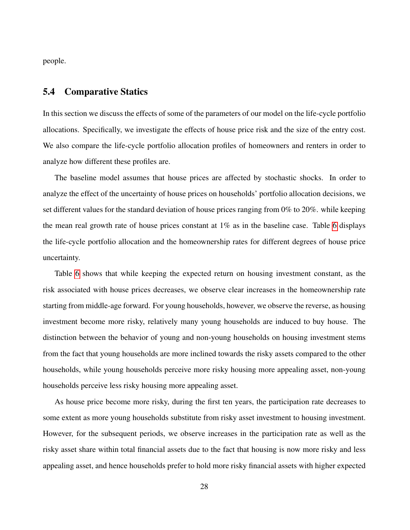people.

#### 5.4 Comparative Statics

In this section we discuss the effects of some of the parameters of our model on the life-cycle portfolio allocations. Specifically, we investigate the effects of house price risk and the size of the entry cost. We also compare the life-cycle portfolio allocation profiles of homeowners and renters in order to analyze how different these profiles are.

The baseline model assumes that house prices are affected by stochastic shocks. In order to analyze the effect of the uncertainty of house prices on households' portfolio allocation decisions, we set different values for the standard deviation of house prices ranging from 0% to 20%. while keeping the mean real growth rate of house prices constant at  $1\%$  as in the baseline case. Table [6](#page-30-0) displays the life-cycle portfolio allocation and the homeownership rates for different degrees of house price uncertainty.

Table [6](#page-30-0) shows that while keeping the expected return on housing investment constant, as the risk associated with house prices decreases, we observe clear increases in the homeownership rate starting from middle-age forward. For young households, however, we observe the reverse, as housing investment become more risky, relatively many young households are induced to buy house. The distinction between the behavior of young and non-young households on housing investment stems from the fact that young households are more inclined towards the risky assets compared to the other households, while young households perceive more risky housing more appealing asset, non-young households perceive less risky housing more appealing asset.

As house price become more risky, during the first ten years, the participation rate decreases to some extent as more young households substitute from risky asset investment to housing investment. However, for the subsequent periods, we observe increases in the participation rate as well as the risky asset share within total financial assets due to the fact that housing is now more risky and less appealing asset, and hence households prefer to hold more risky financial assets with higher expected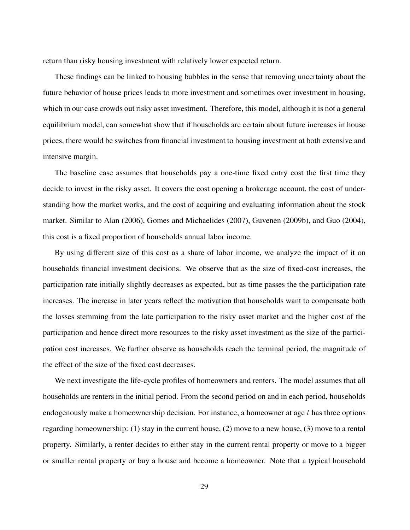return than risky housing investment with relatively lower expected return.

These findings can be linked to housing bubbles in the sense that removing uncertainty about the future behavior of house prices leads to more investment and sometimes over investment in housing, which in our case crowds out risky asset investment. Therefore, this model, although it is not a general equilibrium model, can somewhat show that if households are certain about future increases in house prices, there would be switches from financial investment to housing investment at both extensive and intensive margin.

The baseline case assumes that households pay a one-time fixed entry cost the first time they decide to invest in the risky asset. It covers the cost opening a brokerage account, the cost of understanding how the market works, and the cost of acquiring and evaluating information about the stock market. Similar to Alan (2006), Gomes and Michaelides (2007), Guvenen (2009b), and Guo (2004), this cost is a fixed proportion of households annual labor income.

By using different size of this cost as a share of labor income, we analyze the impact of it on households financial investment decisions. We observe that as the size of fixed-cost increases, the participation rate initially slightly decreases as expected, but as time passes the the participation rate increases. The increase in later years reflect the motivation that households want to compensate both the losses stemming from the late participation to the risky asset market and the higher cost of the participation and hence direct more resources to the risky asset investment as the size of the participation cost increases. We further observe as households reach the terminal period, the magnitude of the effect of the size of the fixed cost decreases.

We next investigate the life-cycle profiles of homeowners and renters. The model assumes that all households are renters in the initial period. From the second period on and in each period, households endogenously make a homeownership decision. For instance, a homeowner at age  $t$  has three options regarding homeownership: (1) stay in the current house, (2) move to a new house, (3) move to a rental property. Similarly, a renter decides to either stay in the current rental property or move to a bigger or smaller rental property or buy a house and become a homeowner. Note that a typical household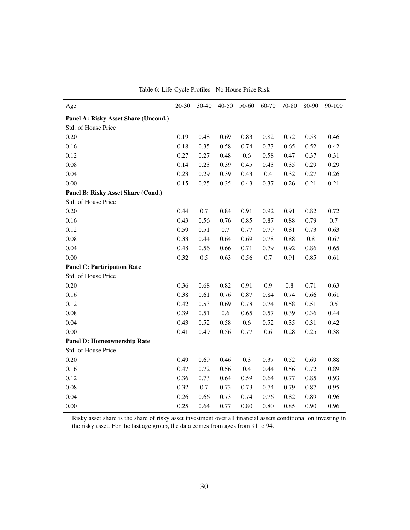<span id="page-30-0"></span>

| Age                                  | $20 - 30$ | 30-40 | 40-50 | 50-60 | 60-70 | 70-80 | 80-90   | 90-100 |
|--------------------------------------|-----------|-------|-------|-------|-------|-------|---------|--------|
| Panel A: Risky Asset Share (Uncond.) |           |       |       |       |       |       |         |        |
| Std. of House Price                  |           |       |       |       |       |       |         |        |
| 0.20                                 | 0.19      | 0.48  | 0.69  | 0.83  | 0.82  | 0.72  | 0.58    | 0.46   |
| 0.16                                 | 0.18      | 0.35  | 0.58  | 0.74  | 0.73  | 0.65  | 0.52    | 0.42   |
| 0.12                                 | 0.27      | 0.27  | 0.48  | 0.6   | 0.58  | 0.47  | 0.37    | 0.31   |
| 0.08                                 | 0.14      | 0.23  | 0.39  | 0.45  | 0.43  | 0.35  | 0.29    | 0.29   |
| 0.04                                 | 0.23      | 0.29  | 0.39  | 0.43  | 0.4   | 0.32  | 0.27    | 0.26   |
| 0.00                                 | 0.15      | 0.25  | 0.35  | 0.43  | 0.37  | 0.26  | 0.21    | 0.21   |
| Panel B: Risky Asset Share (Cond.)   |           |       |       |       |       |       |         |        |
| Std. of House Price                  |           |       |       |       |       |       |         |        |
| 0.20                                 | 0.44      | 0.7   | 0.84  | 0.91  | 0.92  | 0.91  | 0.82    | 0.72   |
| 0.16                                 | 0.43      | 0.56  | 0.76  | 0.85  | 0.87  | 0.88  | 0.79    | 0.7    |
| 0.12                                 | 0.59      | 0.51  | 0.7   | 0.77  | 0.79  | 0.81  | 0.73    | 0.63   |
| 0.08                                 | 0.33      | 0.44  | 0.64  | 0.69  | 0.78  | 0.88  | $0.8\,$ | 0.67   |
| 0.04                                 | 0.48      | 0.56  | 0.66  | 0.71  | 0.79  | 0.92  | 0.86    | 0.65   |
| 0.00                                 | 0.32      | 0.5   | 0.63  | 0.56  | 0.7   | 0.91  | 0.85    | 0.61   |
| <b>Panel C: Participation Rate</b>   |           |       |       |       |       |       |         |        |
| Std. of House Price                  |           |       |       |       |       |       |         |        |
| 0.20                                 | 0.36      | 0.68  | 0.82  | 0.91  | 0.9   | 0.8   | 0.71    | 0.63   |
| 0.16                                 | 0.38      | 0.61  | 0.76  | 0.87  | 0.84  | 0.74  | 0.66    | 0.61   |
| 0.12                                 | 0.42      | 0.53  | 0.69  | 0.78  | 0.74  | 0.58  | 0.51    | 0.5    |
| 0.08                                 | 0.39      | 0.51  | 0.6   | 0.65  | 0.57  | 0.39  | 0.36    | 0.44   |
| 0.04                                 | 0.43      | 0.52  | 0.58  | 0.6   | 0.52  | 0.35  | 0.31    | 0.42   |
| 0.00                                 | 0.41      | 0.49  | 0.56  | 0.77  | 0.6   | 0.28  | 0.25    | 0.38   |
| <b>Panel D: Homeownership Rate</b>   |           |       |       |       |       |       |         |        |
| Std. of House Price                  |           |       |       |       |       |       |         |        |
| 0.20                                 | 0.49      | 0.69  | 0.46  | 0.3   | 0.37  | 0.52  | 0.69    | 0.88   |
| 0.16                                 | 0.47      | 0.72  | 0.56  | 0.4   | 0.44  | 0.56  | 0.72    | 0.89   |
| 0.12                                 | 0.36      | 0.73  | 0.64  | 0.59  | 0.64  | 0.77  | 0.85    | 0.93   |
| 0.08                                 | 0.32      | 0.7   | 0.73  | 0.73  | 0.74  | 0.79  | 0.87    | 0.95   |
| 0.04                                 | 0.26      | 0.66  | 0.73  | 0.74  | 0.76  | 0.82  | 0.89    | 0.96   |
| 0.00                                 | 0.25      | 0.64  | 0.77  | 0.80  | 0.80  | 0.85  | 0.90    | 0.96   |

Table 6: Life-Cycle Profiles - No House Price Risk

Risky asset share is the share of risky asset investment over all financial assets conditional on investing in the risky asset. For the last age group, the data comes from ages from 91 to 94.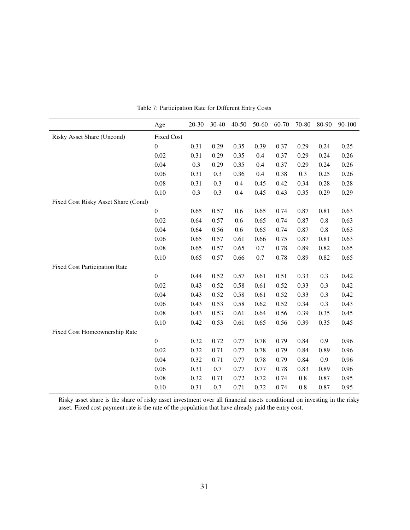|                                      | Age               | $20 - 30$ | $30 - 40$ | $40 - 50$ | 50-60 | 60-70 | 70-80   | 80-90   | 90-100 |
|--------------------------------------|-------------------|-----------|-----------|-----------|-------|-------|---------|---------|--------|
| Risky Asset Share (Uncond)           | <b>Fixed Cost</b> |           |           |           |       |       |         |         |        |
|                                      | $\overline{0}$    | 0.31      | 0.29      | 0.35      | 0.39  | 0.37  | 0.29    | 0.24    | 0.25   |
|                                      | 0.02              | 0.31      | 0.29      | 0.35      | 0.4   | 0.37  | 0.29    | 0.24    | 0.26   |
|                                      | 0.04              | 0.3       | 0.29      | 0.35      | 0.4   | 0.37  | 0.29    | 0.24    | 0.26   |
|                                      | 0.06              | 0.31      | 0.3       | 0.36      | 0.4   | 0.38  | 0.3     | 0.25    | 0.26   |
|                                      | 0.08              | 0.31      | 0.3       | 0.4       | 0.45  | 0.42  | 0.34    | 0.28    | 0.28   |
|                                      | 0.10              | 0.3       | 0.3       | 0.4       | 0.45  | 0.43  | 0.35    | 0.29    | 0.29   |
| Fixed Cost Risky Asset Share (Cond)  |                   |           |           |           |       |       |         |         |        |
|                                      | $\overline{0}$    | 0.65      | 0.57      | 0.6       | 0.65  | 0.74  | 0.87    | 0.81    | 0.63   |
|                                      | 0.02              | 0.64      | 0.57      | 0.6       | 0.65  | 0.74  | 0.87    | $0.8\,$ | 0.63   |
|                                      | 0.04              | 0.64      | 0.56      | 0.6       | 0.65  | 0.74  | 0.87    | 0.8     | 0.63   |
|                                      | 0.06              | 0.65      | 0.57      | 0.61      | 0.66  | 0.75  | 0.87    | 0.81    | 0.63   |
|                                      | 0.08              | 0.65      | 0.57      | 0.65      | 0.7   | 0.78  | 0.89    | 0.82    | 0.65   |
|                                      | 0.10              | 0.65      | 0.57      | 0.66      | 0.7   | 0.78  | 0.89    | 0.82    | 0.65   |
| <b>Fixed Cost Participation Rate</b> |                   |           |           |           |       |       |         |         |        |
|                                      | $\boldsymbol{0}$  | 0.44      | 0.52      | 0.57      | 0.61  | 0.51  | 0.33    | 0.3     | 0.42   |
|                                      | 0.02              | 0.43      | 0.52      | 0.58      | 0.61  | 0.52  | 0.33    | 0.3     | 0.42   |
|                                      | 0.04              | 0.43      | 0.52      | 0.58      | 0.61  | 0.52  | 0.33    | 0.3     | 0.42   |
|                                      | 0.06              | 0.43      | 0.53      | 0.58      | 0.62  | 0.52  | 0.34    | 0.3     | 0.43   |
|                                      | 0.08              | 0.43      | 0.53      | 0.61      | 0.64  | 0.56  | 0.39    | 0.35    | 0.45   |
|                                      | 0.10              | 0.42      | 0.53      | 0.61      | 0.65  | 0.56  | 0.39    | 0.35    | 0.45   |
| Fixed Cost Homeownership Rate        |                   |           |           |           |       |       |         |         |        |
|                                      | $\boldsymbol{0}$  | 0.32      | 0.72      | 0.77      | 0.78  | 0.79  | 0.84    | 0.9     | 0.96   |
|                                      | 0.02              | 0.32      | 0.71      | 0.77      | 0.78  | 0.79  | 0.84    | 0.89    | 0.96   |
|                                      | 0.04              | 0.32      | 0.71      | 0.77      | 0.78  | 0.79  | 0.84    | 0.9     | 0.96   |
|                                      | 0.06              | 0.31      | 0.7       | 0.77      | 0.77  | 0.78  | 0.83    | 0.89    | 0.96   |
|                                      | 0.08              | 0.32      | 0.71      | 0.72      | 0.72  | 0.74  | $0.8\,$ | 0.87    | 0.95   |
|                                      | 0.10              | 0.31      | 0.7       | 0.71      | 0.72  | 0.74  | 0.8     | 0.87    | 0.95   |

Table 7: Participation Rate for Different Entry Costs

Risky asset share is the share of risky asset investment over all financial assets conditional on investing in the risky asset. Fixed cost payment rate is the rate of the population that have already paid the entry cost.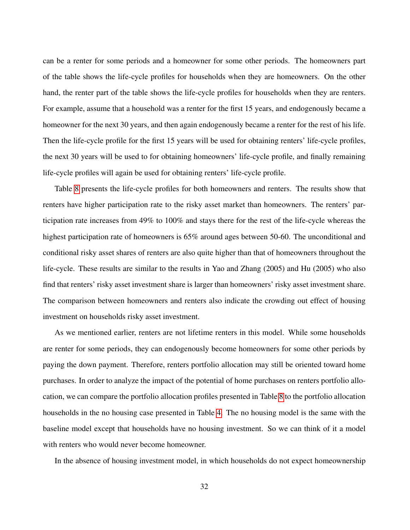can be a renter for some periods and a homeowner for some other periods. The homeowners part of the table shows the life-cycle profiles for households when they are homeowners. On the other hand, the renter part of the table shows the life-cycle profiles for households when they are renters. For example, assume that a household was a renter for the first 15 years, and endogenously became a homeowner for the next 30 years, and then again endogenously became a renter for the rest of his life. Then the life-cycle profile for the first 15 years will be used for obtaining renters' life-cycle profiles, the next 30 years will be used to for obtaining homeowners' life-cycle profile, and finally remaining life-cycle profiles will again be used for obtaining renters' life-cycle profile.

Table [8](#page-33-0) presents the life-cycle profiles for both homeowners and renters. The results show that renters have higher participation rate to the risky asset market than homeowners. The renters' participation rate increases from 49% to 100% and stays there for the rest of the life-cycle whereas the highest participation rate of homeowners is  $65\%$  around ages between 50-60. The unconditional and conditional risky asset shares of renters are also quite higher than that of homeowners throughout the life-cycle. These results are similar to the results in Yao and Zhang (2005) and Hu (2005) who also find that renters' risky asset investment share is larger than homeowners' risky asset investment share. The comparison between homeowners and renters also indicate the crowding out effect of housing investment on households risky asset investment.

As we mentioned earlier, renters are not lifetime renters in this model. While some households are renter for some periods, they can endogenously become homeowners for some other periods by paying the down payment. Therefore, renters portfolio allocation may still be oriented toward home purchases. In order to analyze the impact of the potential of home purchases on renters portfolio allocation, we can compare the portfolio allocation profiles presented in Table [8](#page-33-0) to the portfolio allocation households in the no housing case presented in Table [4.](#page-25-0) The no housing model is the same with the baseline model except that households have no housing investment. So we can think of it a model with renters who would never become homeowner.

In the absence of housing investment model, in which households do not expect homeownership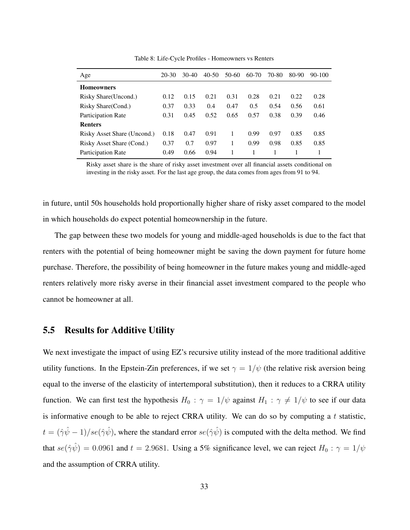<span id="page-33-0"></span>

| Age                         | $20-30$ | $30-40$ | $40-50$ | 50-60 | 60-70 | 70-80 | 80-90 | $90 - 100$ |
|-----------------------------|---------|---------|---------|-------|-------|-------|-------|------------|
| <b>Homeowners</b>           |         |         |         |       |       |       |       |            |
| Risky Share (Uncond.)       | 0.12    | 0.15    | 0.21    | 0.31  | 0.28  | 0.21  | 0.22  | 0.28       |
| Risky Share (Cond.)         | 0.37    | 0.33    | 0.4     | 0.47  | 0.5   | 0.54  | 0.56  | 0.61       |
| Participation Rate          | 0.31    | 0.45    | 0.52    | 0.65  | 0.57  | 0.38  | 0.39  | 0.46       |
| <b>Renters</b>              |         |         |         |       |       |       |       |            |
| Risky Asset Share (Uncond.) | 0.18    | 0.47    | 0.91    | 1     | 0.99  | 0.97  | 0.85  | 0.85       |
| Risky Asset Share (Cond.)   | 0.37    | 0.7     | 0.97    |       | 0.99  | 0.98  | 0.85  | 0.85       |
| Participation Rate          | 0.49    | 0.66    | 0.94    |       |       |       |       |            |
|                             |         |         |         |       |       |       |       |            |

Table 8: Life-Cycle Profiles - Homeowners vs Renters

Risky asset share is the share of risky asset investment over all financial assets conditional on investing in the risky asset. For the last age group, the data comes from ages from 91 to 94.

in future, until 50s households hold proportionally higher share of risky asset compared to the model in which households do expect potential homeownership in the future.

The gap between these two models for young and middle-aged households is due to the fact that renters with the potential of being homeowner might be saving the down payment for future home purchase. Therefore, the possibility of being homeowner in the future makes young and middle-aged renters relatively more risky averse in their financial asset investment compared to the people who cannot be homeowner at all.

## 5.5 Results for Additive Utility

We next investigate the impact of using EZ's recursive utility instead of the more traditional additive utility functions. In the Epstein-Zin preferences, if we set  $\gamma = 1/\psi$  (the relative risk aversion being equal to the inverse of the elasticity of intertemporal substitution), then it reduces to a CRRA utility function. We can first test the hypothesis  $H_0$ :  $\gamma = 1/\psi$  against  $H_1$ :  $\gamma \neq 1/\psi$  to see if our data is informative enough to be able to reject CRRA utility. We can do so by computing a  $t$  statistic,  $t = (\hat{\gamma}\hat{\psi} - 1)/se(\hat{\gamma}\hat{\psi})$ , where the standard error  $se(\hat{\gamma}\hat{\psi})$  is computed with the delta method. We find that  $se(\hat{\gamma}\hat{\psi}) = 0.0961$  and  $t = 2.9681$ . Using a 5% significance level, we can reject  $H_0 : \gamma = 1/\psi$ and the assumption of CRRA utility.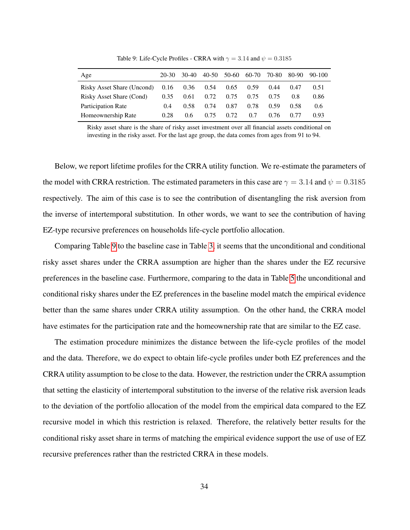<span id="page-34-0"></span>

| Age                        | 20-30 | $30-40$ | 40-50 | 50-60 | 60-70 | 70-80 | 80-90 | 90-100 |
|----------------------------|-------|---------|-------|-------|-------|-------|-------|--------|
| Risky Asset Share (Uncond) | 0.16  | 0.36    | 0.54  | 0.65  | 0.59  | 0.44  | 0.47  | 0.51   |
| Risky Asset Share (Cond)   | 0.35  | 0.61    | 0.72  | 0.75  | 0.75  | 0.75  | 0.8   | 0.86   |
| Participation Rate         | (0.4) | 0.58    | 0.74  | 0.87  | 0.78  | 0.59  | 0.58  | 0.6    |
| Homeownership Rate         | 0.28  | 0.6     | 0.75  | 0.72. | 0.7   | 0.76  | 0.77  | 0.93   |

Table 9: Life-Cycle Profiles - CRRA with  $\gamma = 3.14$  and  $\psi = 0.3185$ 

Risky asset share is the share of risky asset investment over all financial assets conditional on investing in the risky asset. For the last age group, the data comes from ages from 91 to 94.

Below, we report lifetime profiles for the CRRA utility function. We re-estimate the parameters of the model with CRRA restriction. The estimated parameters in this case are  $\gamma = 3.14$  and  $\psi = 0.3185$ respectively. The aim of this case is to see the contribution of disentangling the risk aversion from the inverse of intertemporal substitution. In other words, we want to see the contribution of having EZ-type recursive preferences on households life-cycle portfolio allocation.

Comparing Table [9](#page-34-0) to the baseline case in Table [3,](#page-23-0) it seems that the unconditional and conditional risky asset shares under the CRRA assumption are higher than the shares under the EZ recursive preferences in the baseline case. Furthermore, comparing to the data in Table [5](#page-27-0) the unconditional and conditional risky shares under the EZ preferences in the baseline model match the empirical evidence better than the same shares under CRRA utility assumption. On the other hand, the CRRA model have estimates for the participation rate and the homeownership rate that are similar to the EZ case.

The estimation procedure minimizes the distance between the life-cycle profiles of the model and the data. Therefore, we do expect to obtain life-cycle profiles under both EZ preferences and the CRRA utility assumption to be close to the data. However, the restriction under the CRRA assumption that setting the elasticity of intertemporal substitution to the inverse of the relative risk aversion leads to the deviation of the portfolio allocation of the model from the empirical data compared to the EZ recursive model in which this restriction is relaxed. Therefore, the relatively better results for the conditional risky asset share in terms of matching the empirical evidence support the use of use of EZ recursive preferences rather than the restricted CRRA in these models.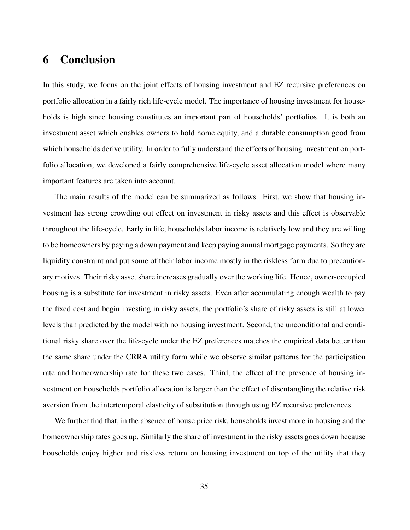## 6 Conclusion

In this study, we focus on the joint effects of housing investment and EZ recursive preferences on portfolio allocation in a fairly rich life-cycle model. The importance of housing investment for households is high since housing constitutes an important part of households' portfolios. It is both an investment asset which enables owners to hold home equity, and a durable consumption good from which households derive utility. In order to fully understand the effects of housing investment on portfolio allocation, we developed a fairly comprehensive life-cycle asset allocation model where many important features are taken into account.

The main results of the model can be summarized as follows. First, we show that housing investment has strong crowding out effect on investment in risky assets and this effect is observable throughout the life-cycle. Early in life, households labor income is relatively low and they are willing to be homeowners by paying a down payment and keep paying annual mortgage payments. So they are liquidity constraint and put some of their labor income mostly in the riskless form due to precautionary motives. Their risky asset share increases gradually over the working life. Hence, owner-occupied housing is a substitute for investment in risky assets. Even after accumulating enough wealth to pay the fixed cost and begin investing in risky assets, the portfolio's share of risky assets is still at lower levels than predicted by the model with no housing investment. Second, the unconditional and conditional risky share over the life-cycle under the EZ preferences matches the empirical data better than the same share under the CRRA utility form while we observe similar patterns for the participation rate and homeownership rate for these two cases. Third, the effect of the presence of housing investment on households portfolio allocation is larger than the effect of disentangling the relative risk aversion from the intertemporal elasticity of substitution through using EZ recursive preferences.

We further find that, in the absence of house price risk, households invest more in housing and the homeownership rates goes up. Similarly the share of investment in the risky assets goes down because households enjoy higher and riskless return on housing investment on top of the utility that they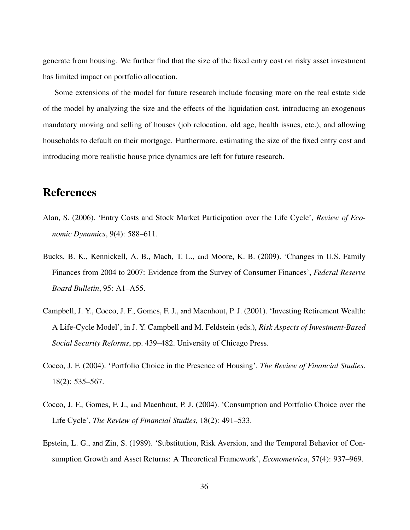generate from housing. We further find that the size of the fixed entry cost on risky asset investment has limited impact on portfolio allocation.

Some extensions of the model for future research include focusing more on the real estate side of the model by analyzing the size and the effects of the liquidation cost, introducing an exogenous mandatory moving and selling of houses (job relocation, old age, health issues, etc.), and allowing households to default on their mortgage. Furthermore, estimating the size of the fixed entry cost and introducing more realistic house price dynamics are left for future research.

## References

- Alan, S. (2006). 'Entry Costs and Stock Market Participation over the Life Cycle', *Review of Economic Dynamics*, 9(4): 588–611.
- Bucks, B. K., Kennickell, A. B., Mach, T. L., and Moore, K. B. (2009). 'Changes in U.S. Family Finances from 2004 to 2007: Evidence from the Survey of Consumer Finances', *Federal Reserve Board Bulletin*, 95: A1–A55.
- Campbell, J. Y., Cocco, J. F., Gomes, F. J., and Maenhout, P. J. (2001). 'Investing Retirement Wealth: A Life-Cycle Model', in J. Y. Campbell and M. Feldstein (eds.), *Risk Aspects of Investment-Based Social Security Reforms*, pp. 439–482. University of Chicago Press.
- Cocco, J. F. (2004). 'Portfolio Choice in the Presence of Housing', *The Review of Financial Studies*, 18(2): 535–567.
- Cocco, J. F., Gomes, F. J., and Maenhout, P. J. (2004). 'Consumption and Portfolio Choice over the Life Cycle', *The Review of Financial Studies*, 18(2): 491–533.
- Epstein, L. G., and Zin, S. (1989). 'Substitution, Risk Aversion, and the Temporal Behavior of Consumption Growth and Asset Returns: A Theoretical Framework', *Econometrica*, 57(4): 937–969.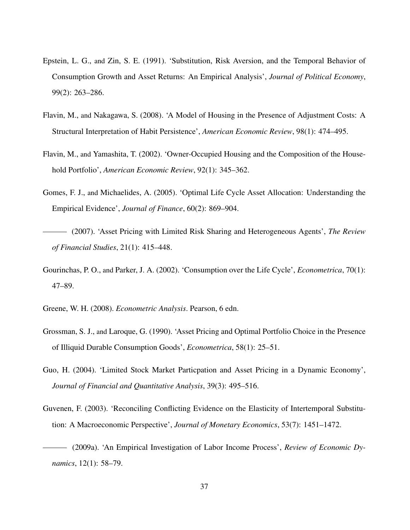- Epstein, L. G., and Zin, S. E. (1991). 'Substitution, Risk Aversion, and the Temporal Behavior of Consumption Growth and Asset Returns: An Empirical Analysis', *Journal of Political Economy*, 99(2): 263–286.
- Flavin, M., and Nakagawa, S. (2008). 'A Model of Housing in the Presence of Adjustment Costs: A Structural Interpretation of Habit Persistence', *American Economic Review*, 98(1): 474–495.
- Flavin, M., and Yamashita, T. (2002). 'Owner-Occupied Housing and the Composition of the Household Portfolio', *American Economic Review*, 92(1): 345–362.
- Gomes, F. J., and Michaelides, A. (2005). 'Optimal Life Cycle Asset Allocation: Understanding the Empirical Evidence', *Journal of Finance*, 60(2): 869–904.
- (2007). 'Asset Pricing with Limited Risk Sharing and Heterogeneous Agents', *The Review of Financial Studies*, 21(1): 415–448.
- Gourinchas, P. O., and Parker, J. A. (2002). 'Consumption over the Life Cycle', *Econometrica*, 70(1): 47–89.
- Greene, W. H. (2008). *Econometric Analysis*. Pearson, 6 edn.
- Grossman, S. J., and Laroque, G. (1990). 'Asset Pricing and Optimal Portfolio Choice in the Presence of Illiquid Durable Consumption Goods', *Econometrica*, 58(1): 25–51.
- Guo, H. (2004). 'Limited Stock Market Particpation and Asset Pricing in a Dynamic Economy', *Journal of Financial and Quantitative Analysis*, 39(3): 495–516.
- Guvenen, F. (2003). 'Reconciling Conflicting Evidence on the Elasticity of Intertemporal Substitution: A Macroeconomic Perspective', *Journal of Monetary Economics*, 53(7): 1451–1472.
- (2009a). 'An Empirical Investigation of Labor Income Process', *Review of Economic Dynamics*, 12(1): 58–79.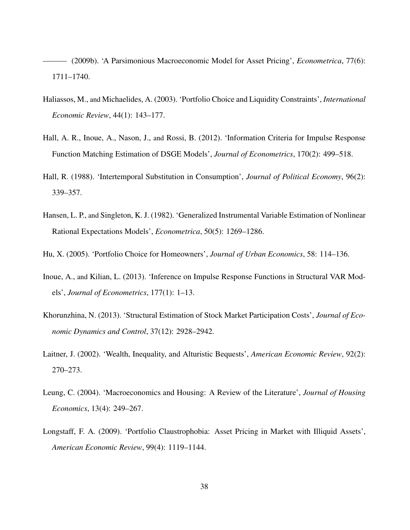(2009b). 'A Parsimonious Macroeconomic Model for Asset Pricing', *Econometrica*, 77(6): 1711–1740.

- Haliassos, M., and Michaelides, A. (2003). 'Portfolio Choice and Liquidity Constraints', *International Economic Review*, 44(1): 143–177.
- Hall, A. R., Inoue, A., Nason, J., and Rossi, B. (2012). 'Information Criteria for Impulse Response Function Matching Estimation of DSGE Models', *Journal of Econometrics*, 170(2): 499–518.
- Hall, R. (1988). 'Intertemporal Substitution in Consumption', *Journal of Political Economy*, 96(2): 339–357.
- Hansen, L. P., and Singleton, K. J. (1982). 'Generalized Instrumental Variable Estimation of Nonlinear Rational Expectations Models', *Econometrica*, 50(5): 1269–1286.
- Hu, X. (2005). 'Portfolio Choice for Homeowners', *Journal of Urban Economics*, 58: 114–136.
- Inoue, A., and Kilian, L. (2013). 'Inference on Impulse Response Functions in Structural VAR Models', *Journal of Econometrics*, 177(1): 1–13.
- Khorunzhina, N. (2013). 'Structural Estimation of Stock Market Participation Costs', *Journal of Economic Dynamics and Control*, 37(12): 2928–2942.
- Laitner, J. (2002). 'Wealth, Inequality, and Alturistic Bequests', *American Economic Review*, 92(2): 270–273.
- Leung, C. (2004). 'Macroeconomics and Housing: A Review of the Literature', *Journal of Housing Economics*, 13(4): 249–267.
- Longstaff, F. A. (2009). 'Portfolio Claustrophobia: Asset Pricing in Market with Illiquid Assets', *American Economic Review*, 99(4): 1119–1144.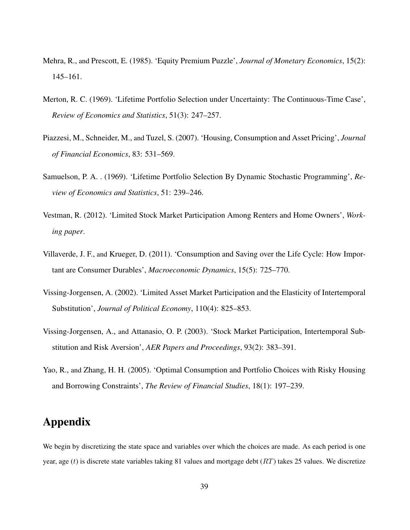- Mehra, R., and Prescott, E. (1985). 'Equity Premium Puzzle', *Journal of Monetary Economics*, 15(2): 145–161.
- Merton, R. C. (1969). 'Lifetime Portfolio Selection under Uncertainty: The Continuous-Time Case', *Review of Economics and Statistics*, 51(3): 247–257.
- Piazzesi, M., Schneider, M., and Tuzel, S. (2007). 'Housing, Consumption and Asset Pricing', *Journal of Financial Economics*, 83: 531–569.
- Samuelson, P. A. . (1969). 'Lifetime Portfolio Selection By Dynamic Stochastic Programming', *Review of Economics and Statistics*, 51: 239–246.
- Vestman, R. (2012). 'Limited Stock Market Participation Among Renters and Home Owners', *Working paper*.
- Villaverde, J. F., and Krueger, D. (2011). 'Consumption and Saving over the Life Cycle: How Important are Consumer Durables', *Macroeconomic Dynamics*, 15(5): 725–770.
- Vissing-Jorgensen, A. (2002). 'Limited Asset Market Participation and the Elasticity of Intertemporal Substitution', *Journal of Political Economy*, 110(4): 825–853.
- Vissing-Jorgensen, A., and Attanasio, O. P. (2003). 'Stock Market Participation, Intertemporal Substitution and Risk Aversion', *AER Papers and Proceedings*, 93(2): 383–391.
- Yao, R., and Zhang, H. H. (2005). 'Optimal Consumption and Portfolio Choices with Risky Housing and Borrowing Constraints', *The Review of Financial Studies*, 18(1): 197–239.

## Appendix

We begin by discretizing the state space and variables over which the choices are made. As each period is one year, age (t) is discrete state variables taking 81 values and mortgage debt  $(RT)$  takes 25 values. We discretize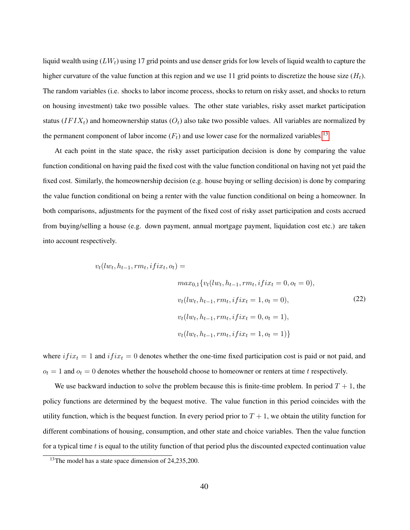liquid wealth using  $(LW_t)$  using 17 grid points and use denser grids for low levels of liquid wealth to capture the higher curvature of the value function at this region and we use 11 grid points to discretize the house size  $(H_t)$ . The random variables (i.e. shocks to labor income process, shocks to return on risky asset, and shocks to return on housing investment) take two possible values. The other state variables, risky asset market participation status ( $IFIX_t$ ) and homeownership status ( $O_t$ ) also take two possible values. All variables are normalized by the permanent component of labor income  $(F_t)$  and use lower case for the normalized variables.<sup>[13](#page-0-0)</sup>

At each point in the state space, the risky asset participation decision is done by comparing the value function conditional on having paid the fixed cost with the value function conditional on having not yet paid the fixed cost. Similarly, the homeownership decision (e.g. house buying or selling decision) is done by comparing the value function conditional on being a renter with the value function conditional on being a homeowner. In both comparisons, adjustments for the payment of the fixed cost of risky asset participation and costs accrued from buying/selling a house (e.g. down payment, annual mortgage payment, liquidation cost etc.) are taken into account respectively.

$$
v_t(lw_t, h_{t-1}, rm_t, ifix_t, o_t) =
$$
  
\n
$$
max_{0,1} \{v_t(lw_t, h_{t-1}, rm_t, ifix_t = 0, o_t = 0),
$$
  
\n
$$
v_t(lw_t, h_{t-1}, rm_t, ifix_t = 1, o_t = 0),
$$
  
\n
$$
v_t(lw_t, h_{t-1}, rm_t, ifix_t = 0, o_t = 1),
$$
  
\n
$$
v_t(lw_t, h_{t-1}, rm_t, ifix_t = 1, o_t = 1)\}
$$
  
\n(22)

where  $if_{ix_t} = 1$  and  $if_{ix_t} = 0$  denotes whether the one-time fixed participation cost is paid or not paid, and  $o_t = 1$  and  $o_t = 0$  denotes whether the household choose to homeowner or renters at time t respectively.

We use backward induction to solve the problem because this is finite-time problem. In period  $T + 1$ , the policy functions are determined by the bequest motive. The value function in this period coincides with the utility function, which is the bequest function. In every period prior to  $T + 1$ , we obtain the utility function for different combinations of housing, consumption, and other state and choice variables. Then the value function for a typical time  $t$  is equal to the utility function of that period plus the discounted expected continuation value

<sup>&</sup>lt;sup>13</sup>The model has a state space dimension of 24,235,200.